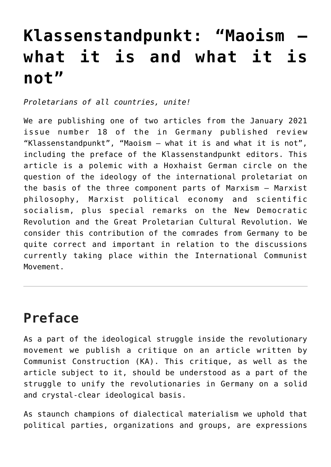## **[Klassenstandpunkt: "Maoism –](https://ci-ic.org/blog/2022/06/08/klassenstandpunkt-maoism-what-it-is-and-what-it-is-not/) [what it is and what it is](https://ci-ic.org/blog/2022/06/08/klassenstandpunkt-maoism-what-it-is-and-what-it-is-not/) [not"](https://ci-ic.org/blog/2022/06/08/klassenstandpunkt-maoism-what-it-is-and-what-it-is-not/)**

*Proletarians of all countries, unite!*

We are publishing one of two articles from the January 2021 issue number 18 of the in Germany published review "Klassenstandpunkt", "Maoism – what it is and what it is not", including the preface of the Klassenstandpunkt editors. This article is a polemic with a Hoxhaist German circle on the question of the ideology of the international proletariat on the basis of the three component parts of Marxism – Marxist philosophy, Marxist political economy and scientific socialism, plus special remarks on the New Democratic Revolution and the Great Proletarian Cultural Revolution. We consider this contribution of the comrades from Germany to be quite correct and important in relation to the discussions currently taking place within the International Communist Movement.

## **Preface**

As a part of the ideological struggle inside the revolutionary movement we publish a critique on an article written by Communist Construction (KA). This critique, as well as the article subject to it, should be understood as a part of the struggle to unify the revolutionaries in Germany on a solid and crystal-clear ideological basis.

As staunch champions of dialectical materialism we uphold that political parties, organizations and groups, are expressions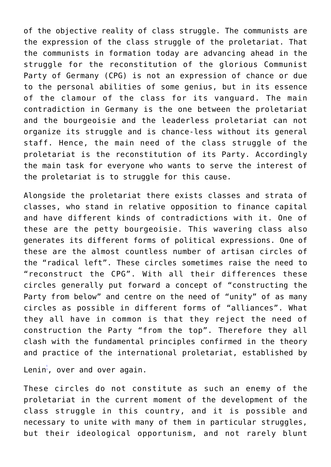of the objective reality of class struggle. The communists are the expression of the class struggle of the proletariat. That the communists in formation today are advancing ahead in the struggle for the reconstitution of the glorious Communist Party of Germany (CPG) is not an expression of chance or due to the personal abilities of some genius, but in its essence of the clamour of the class for its vanguard. The main contradiction in Germany is the one between the proletariat and the bourgeoisie and the leaderless proletariat can not organize its struggle and is chance-less without its general staff. Hence, the main need of the class struggle of the proletariat is the reconstitution of its Party. Accordingly the main task for everyone who wants to serve the interest of the proletariat is to struggle for this cause.

Alongside the proletariat there exists classes and strata of classes, who stand in relative opposition to finance capital and have different kinds of contradictions with it. One of these are the petty bourgeoisie. This wavering class also generates its different forms of political expressions. One of these are the almost countless number of artisan circles of the "radical left". These circles sometimes raise the need to "reconstruct the CPG". With all their differences these circles generally put forward a concept of "constructing the Party from below" and centre on the need of "unity" of as many circles as possible in different forms of "alliances". What they all have in common is that they reject the need of construction the Party "from the top". Therefore they all clash with the fundamental principles confirmed in the theory and practice of the international proletariat, established by

Len[i](#page--1-0)n<sup>1</sup>, over and over again.

These circles do not constitute as such an enemy of the proletariat in the current moment of the development of the class struggle in this country, and it is possible and necessary to unite with many of them in particular struggles, but their ideological opportunism, and not rarely blunt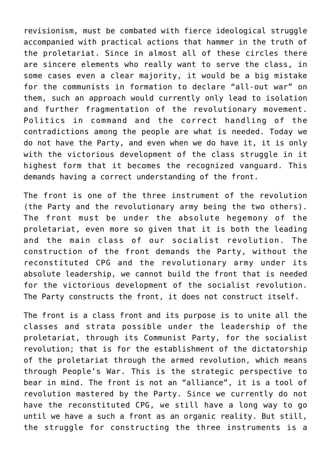revisionism, must be combated with fierce ideological struggle accompanied with practical actions that hammer in the truth of the proletariat. Since in almost all of these circles there are sincere elements who really want to serve the class, in some cases even a clear majority, it would be a big mistake for the communists in formation to declare "all-out war" on them, such an approach would currently only lead to isolation and further fragmentation of the revolutionary movement. Politics in command and the correct handling of the contradictions among the people are what is needed. Today we do not have the Party, and even when we do have it, it is only with the victorious development of the class struggle in it highest form that it becomes the recognized vanguard. This demands having a correct understanding of the front.

The front is one of the three instrument of the revolution (the Party and the revolutionary army being the two others). The front must be under the absolute hegemony of the proletariat, even more so given that it is both the leading and the main class of our socialist revolution. The construction of the front demands the Party, without the reconstituted CPG and the revolutionary army under its absolute leadership, we cannot build the front that is needed for the victorious development of the socialist revolution. The Party constructs the front, it does not construct itself.

The front is a class front and its purpose is to unite all the classes and strata possible under the leadership of the proletariat, through its Communist Party, for the socialist revolution; that is for the establishment of the dictatorship of the proletariat through the armed revolution, which means through People's War. This is the strategic perspective to bear in mind. The front is not an "alliance", it is a tool of revolution mastered by the Party. Since we currently do not have the reconstituted CPG, we still have a long way to go until we have a such a front as an organic reality. But still, the struggle for constructing the three instruments is a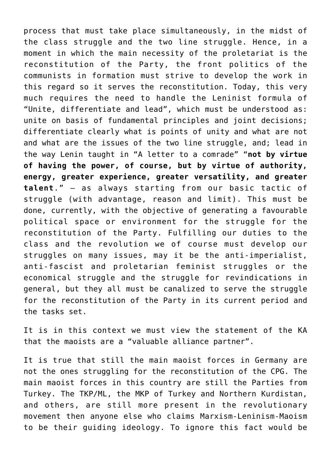process that must take place simultaneously, in the midst of the class struggle and the two line struggle. Hence, in a moment in which the main necessity of the proletariat is the reconstitution of the Party, the front politics of the communists in formation must strive to develop the work in this regard so it serves the reconstitution. Today, this very much requires the need to handle the Leninist formula of "Unite, differentiate and lead", which must be understood as: unite on basis of fundamental principles and joint decisions; differentiate clearly what is points of unity and what are not and what are the issues of the two line struggle, and; lead in the way Lenin taught in "A letter to a comrade" "**not by virtue of having the power, of course, but by virtue of authority, energy, greater experience, greater versatility, and greater talent**." – as always starting from our basic tactic of struggle (with advantage, reason and limit). This must be done, currently, with the objective of generating a favourable political space or environment for the struggle for the reconstitution of the Party. Fulfilling our duties to the class and the revolution we of course must develop our struggles on many issues, may it be the anti-imperialist, anti-fascist and proletarian feminist struggles or the economical struggle and the struggle for revindications in general, but they all must be canalized to serve the struggle for the reconstitution of the Party in its current period and the tasks set.

It is in this context we must view the statement of the KA that the maoists are a "valuable alliance partner".

It is true that still the main maoist forces in Germany are not the ones struggling for the reconstitution of the CPG. The main maoist forces in this country are still the Parties from Turkey. The TKP/ML, the MKP of Turkey and Northern Kurdistan, and others, are still more present in the revolutionary movement then anyone else who claims Marxism-Leninism-Maoism to be their guiding ideology. To ignore this fact would be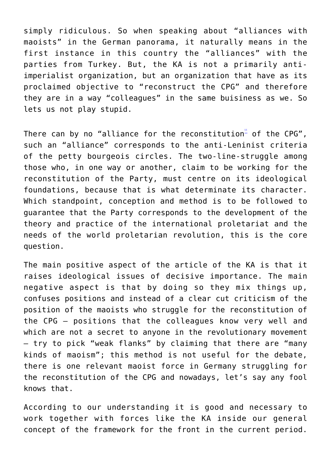simply ridiculous. So when speaking about "alliances with maoists" in the German panorama, it naturally means in the first instance in this country the "alliances" with the parties from Turkey. But, the KA is not a primarily antiimperialist organization, but an organization that have as its proclaimed objective to "reconstruct the CPG" and therefore they are in a way "colleagues" in the same buisiness as we. So lets us not play stupid.

There can by no "alliance for the reconstitution $\overline{ }^{_{\text{ii}}}$  $\overline{ }^{_{\text{ii}}}$  $\overline{ }^{_{\text{ii}}}$  of the CPG", such an "alliance" corresponds to the anti-Leninist criteria of the petty bourgeois circles. The two-line-struggle among those who, in one way or another, claim to be working for the reconstitution of the Party, must centre on its ideological foundations, because that is what determinate its character. Which standpoint, conception and method is to be followed to guarantee that the Party corresponds to the development of the theory and practice of the international proletariat and the needs of the world proletarian revolution, this is the core question.

The main positive aspect of the article of the KA is that it raises ideological issues of decisive importance. The main negative aspect is that by doing so they mix things up, confuses positions and instead of a clear cut criticism of the position of the maoists who struggle for the reconstitution of the CPG – positions that the colleagues know very well and which are not a secret to anyone in the revolutionary movement – try to pick "weak flanks" by claiming that there are "many kinds of maoism"; this method is not useful for the debate, there is one relevant maoist force in Germany struggling for the reconstitution of the CPG and nowadays, let's say any fool knows that.

According to our understanding it is good and necessary to work together with forces like the KA inside our general concept of the framework for the front in the current period.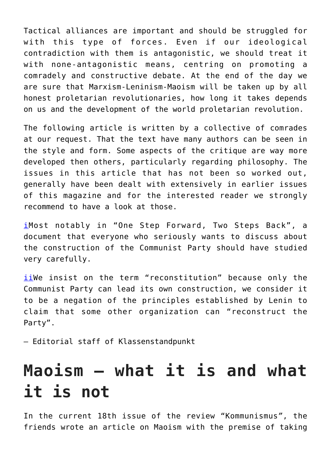Tactical alliances are important and should be struggled for with this type of forces. Even if our ideological contradiction with them is antagonistic, we should treat it with none-antagonistic means, centring on promoting a comradely and constructive debate. At the end of the day we are sure that Marxism-Leninism-Maoism will be taken up by all honest proletarian revolutionaries, how long it takes depends on us and the development of the world proletarian revolution.

The following article is written by a collective of comrades at our request. That the text have many authors can be seen in the style and form. Some aspects of the critique are way more developed then others, particularly regarding philosophy. The issues in this article that has not been so worked out, generally have been dealt with extensively in earlier issues of this magazine and for the interested reader we strongly recommend to have a look at those.

[iM](#page--1-0)ost notably in "One Step Forward, Two Steps Back", a document that everyone who seriously wants to discuss about the construction of the Communist Party should have studied very carefully.

[iiW](#page--1-0)e insist on the term "reconstitution" because only the Communist Party can lead its own construction, we consider it to be a negation of the principles established by Lenin to claim that some other organization can "reconstruct the Party".

– Editorial staff of Klassenstandpunkt

## **Maoism – what it is and what it is not**

In the current 18th issue of the review "Kommunismus*"*, the friends wrote an article on Maoism with the premise of taking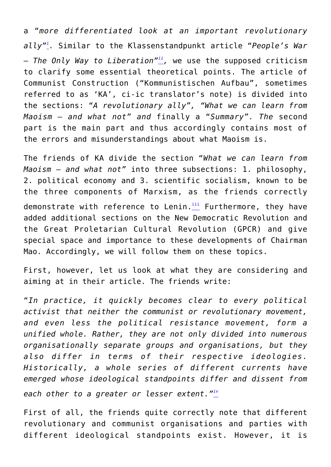a "*more differentiated look at an important revolutionary ally"[i](#page--1-0) .* Similar to the Klassenstandpunkt article "*People's War* – *The Only Way to Liberation"[ii](#page--1-0) ,* we use the supposed criticism to clarify some essential theoretical points. The article of Communist Construction ("Kommunistischen Aufbau", sometimes referred to as 'KA', ci-ic translator's note) is divided into the sections: "*A revolutionary ally", "What we can learn from Maoism – and what not" and* finally a "*Summary". The* second part is the main part and thus accordingly contains most of the errors and misunderstandings about what Maoism is.

The friends of KA divide the section "*What we can learn from Maoism* – *and what not"* into three subsections: 1. philosophy, 2. political economy and 3. scientific socialism, known to be the three components of Marxism, as the friends correctly demonstrate with reference to Lenin. $\frac{i}{n}$  Furthermore, they have added additional sections on the New Democratic Revolution and the Great Proletarian Cultural Revolution (GPCR) and give special space and importance to these developments of Chairman Mao. Accordingly, we will follow them on these topics.

First, however, let us look at what they are considering and aiming at in their article. The friends write:

"*In practice, it quickly becomes clear to every political activist that neither the communist or revolutionary movement, and even less the political resistance movement, form a unified whole. Rather, they are not only divided into numerous organisationally separate groups and organisations, but they also differ in terms of their respective ideologies. Historically, a whole series of different currents have emerged whose ideological standpoints differ and dissent from each other to a greater or lesser extent."[iv](#page--1-0)*

First of all, the friends quite correctly note that different revolutionary and communist organisations and parties with different ideological standpoints exist. However, it is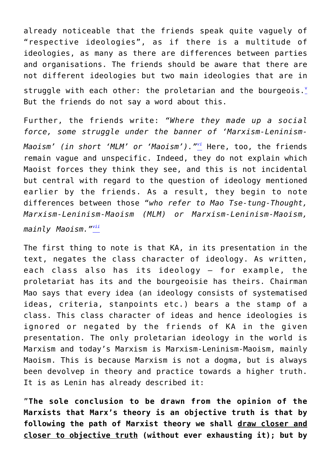already noticeable that the friends speak quite vaguely of "respective ideologies", as if there is a multitude of ideologies, as many as there are differences between parties and organisations. The friends should be aware that there are not different ideologies but two main ideologies that are in struggle with each other: the proletarian and the bourgeois. But the friends do not say a word about this.

Further, the friends write: *"Where they made up a social force, some struggle under the banner of 'Marxism-Leninism-Maoism' (in short 'MLM' or 'Maoism')."[vi](#page--1-0)* Here, too, the friends remain vague and unspecific. Indeed, they do not explain which Maoist forces they think they see, and this is not incidental but central with regard to the question of ideology mentioned earlier by the friends. As a result, they begin to note differences between those "*who refer to Mao Tse-tung-Thought, Marxism-Leninism-Maoism (MLM) or Marxism-Leninism-Maoism, mainly Maoism."[vii](#page--1-0)*

The first thing to note is that KA, in its presentation in the text, negates the class character of ideology. As written, each class also has its ideology – for example, the proletariat has its and the bourgeoisie has theirs. Chairman Mao says that every idea (an ideology consists of systematised ideas, criteria, stanpoints etc.) bears a the stamp of a class. This class character of ideas and hence ideologies is ignored or negated by the friends of KA in the given presentation. The only proletarian ideology in the world is Marxism and today's Marxism is Marxism-Leninism-Maoism, mainly Maoism. This is because Marxism is not a dogma, but is always been devolvep in theory and practice towards a higher truth. It is as Lenin has already described it:

"**The sole conclusion to be drawn from the opinion of the Marxists that Marx's theory is an objective truth is that by following the path of Marxist theory we shall draw closer and closer to objective truth (without ever exhausting it); but by**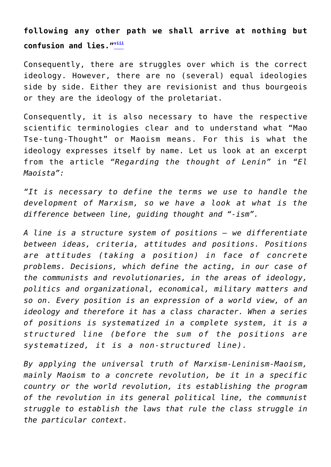**following any other path we shall arrive at nothing but confusion and lies."[viii](#page--1-0)**

Consequently, there are struggles over which is the correct ideology. However, there are no (several) equal ideologies side by side. Either they are revisionist and thus bourgeois or they are the ideology of the proletariat.

Consequently, it is also necessary to have the respective scientific terminologies clear and to understand what "Mao Tse-tung-Thought" or Maoism means. For this is what the ideology expresses itself by name. Let us look at an excerpt from the article *"Regarding the thought of Lenin"* in *"El Maoista":*

*"It is necessary to define the terms we use to handle the development of Marxism, so we have a look at what is the difference between line, guiding thought and "-ism".*

*A line is a structure system of positions – we differentiate between ideas, criteria, attitudes and positions. Positions are attitudes (taking a position) in face of concrete problems. Decisions, which define the acting, in our case of the communists and revolutionaries, in the areas of ideology, politics and organizational, economical, military matters and so on. Every position is an expression of a world view, of an ideology and therefore it has a class character. When a series of positions is systematized in a complete system, it is a structured line (before the sum of the positions are systematized, it is a non-structured line).*

*By applying the universal truth of Marxism-Leninism-Maoism, mainly Maoism to a concrete revolution, be it in a specific country or the world revolution, its establishing the program of the revolution in its general political line, the communist struggle to establish the laws that rule the class struggle in the particular context.*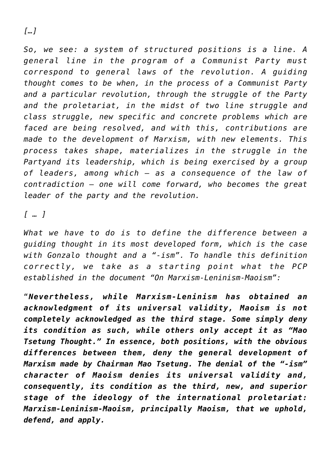*[…]*

*So, we see: a system of structured positions is a line. A general line in the program of a Communist Party must correspond to general laws of the revolution. A guiding thought comes to be when, in the process of a Communist Party and a particular revolution, through the struggle of the Party and the proletariat, in the midst of two line struggle and class struggle, new specific and concrete problems which are faced are being resolved, and with this, contributions are made to the development of Marxism, with new elements. This process takes shape, materializes in the struggle in the Partyand its leadership, which is being exercised by a group of leaders, among which – as a consequence of the law of contradiction – one will come forward, who becomes the great leader of the party and the revolution.*

*[ … ]*

*What we have to do is to define the difference between a guiding thought in its most developed form, which is the case with Gonzalo thought and a "-ism". To handle this definition correctly, we take as a starting point what the PCP established in the document "On Marxism-Leninism-Maoism":*

"*Nevertheless, while Marxism-Leninism has obtained an acknowledgment of its universal validity, Maoism is not completely acknowledged as the third stage. Some simply deny its condition as such, while others only accept it as "Mao Tsetung Thought." In essence, both positions, with the obvious differences between them, deny the general development of Marxism made by Chairman Mao Tsetung. The denial of the "-ism" character of Maoism denies its universal validity and, consequently, its condition as the third, new, and superior stage of the ideology of the international proletariat: Marxism-Leninism-Maoism, principally Maoism, that we uphold, defend, and apply.*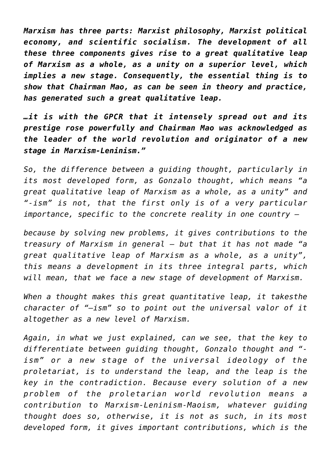*Marxism has three parts: Marxist philosophy, Marxist political economy, and scientific socialism. The development of all these three components gives rise to a great qualitative leap of Marxism as a whole, as a unity on a superior level, which implies a new stage. Consequently, the essential thing is to show that Chairman Mao, as can be seen in theory and practice, has generated such a great qualitative leap.*

*…it is with the GPCR that it intensely spread out and its prestige rose powerfully and Chairman Mao was acknowledged as the leader of the world revolution and originator of a new stage in Marxism-Leninism."*

*So, the difference between a guiding thought, particularly in its most developed form, as Gonzalo thought, which means "a great qualitative leap of Marxism as a whole, as a unity" and "-ism" is not, that the first only is of a very particular importance, specific to the concrete reality in one country –*

*because by solving new problems, it gives contributions to the treasury of Marxism in general – but that it has not made "a great qualitative leap of Marxism as a whole, as a unity", this means a development in its three integral parts, which will mean, that we face a new stage of development of Marxism.*

*When a thought makes this great quantitative leap, it takesthe character of "–ism" so to point out the universal valor of it altogether as a new level of Marxism.*

*Again, in what we just explained, can we see, that the key to differentiate between guiding thought, Gonzalo thought and " ism" or a new stage of the universal ideology of the proletariat, is to understand the leap, and the leap is the key in the contradiction. Because every solution of a new problem of the proletarian world revolution means a contribution to Marxism-Leninism-Maoism, whatever guiding thought does so, otherwise, it is not as such, in its most developed form, it gives important contributions, which is the*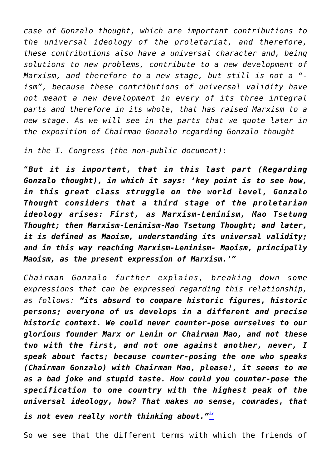*case of Gonzalo thought, which are important contributions to the universal ideology of the proletariat, and therefore, these contributions also have a universal character and, being solutions to new problems, contribute to a new development of Marxism, and therefore to a new stage, but still is not a " ism", because these contributions of universal validity have not meant a new development in every of its three integral parts and therefore in its whole, that has raised Marxism to a new stage. As we will see in the parts that we quote later in the exposition of Chairman Gonzalo regarding Gonzalo thought*

*in the I. Congress (the non-public document):*

"*But it is important, that in this last part (Regarding Gonzalo thought), in which it says: 'key point is to see how, in this great class struggle on the world level, Gonzalo Thought considers that a third stage of the proletarian ideology arises: First, as Marxism-Leninism, Mao Tsetung Thought; then Marxism-Leninism-Mao Tsetung Thought; and later, it is defined as Maoism, understanding its universal validity; and in this way reaching Marxism-Leninism- Maoism, principally Maoism, as the present expression of Marxism.'"*

*Chairman Gonzalo further explains, breaking down some expressions that can be expressed regarding this relationship, as follows: "its absurd to compare historic figures, historic persons; everyone of us develops in a different and precise historic context. We could never counter-pose ourselves to our glorious founder Marx or Lenin or Chairman Mao, and not these two with the first, and not one against another, never, I speak about facts; because counter-posing the one who speaks (Chairman Gonzalo) with Chairman Mao, please!, it seems to me as a bad joke and stupid taste. How could you counter-pose the specification to one country with the highest peak of the universal ideology, how? That makes no sense, comrades, that is not even really worth thinking about."[ix](#page--1-0)*

So we see that the different terms with which the friends of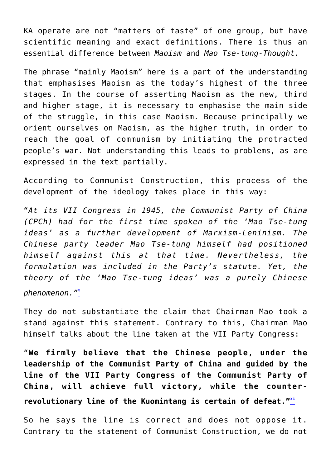KA operate are not "matters of taste" of one group, but have scientific meaning and exact definitions. There is thus an essential difference between *Maoism* and *Mao Tse-tung-Thought.*

The phrase "mainly Maoism" here is a part of the understanding that emphasises Maoism as the today's highest of the three stages. In the course of asserting Maoism as the new, third and higher stage, it is necessary to emphasise the main side of the struggle, in this case Maoism. Because principally we orient ourselves on Maoism, as the higher truth, in order to reach the goal of communism by initiating the protracted people's war. Not understanding this leads to problems, as are expressed in the text partially.

According to Communist Construction, this process of the development of the ideology takes place in this way:

"*At its VII Congress in 1945, the Communist Party of China (CPCh) had for the first time spoken of the 'Mao Tse-tung ideas' as a further development of Marxism-Leninism. The Chinese party leader Mao Tse-tung himself had positioned himself against this at that time. Nevertheless, the formulation was included in the Party's statute. Yet, the theory of the 'Mao Tse-tung ideas' was a purely Chinese phenomenon."[x](#page--1-0)*

They do not substantiate the claim that Chairman Mao took a stand against this statement. Contrary to this, Chairman Mao himself talks about the line taken at the VII Party Congress:

"**We firmly believe that the Chinese people, under the leadership of the Communist Party of China and guided by the line of the VII Party Congress of the Communist Party of China, will achieve full victory, while the counterrevolutionary line of the Kuomintang is certain of defeat."[xi](#page--1-0)**

So he says the line is correct and does not oppose it. Contrary to the statement of Communist Construction, we do not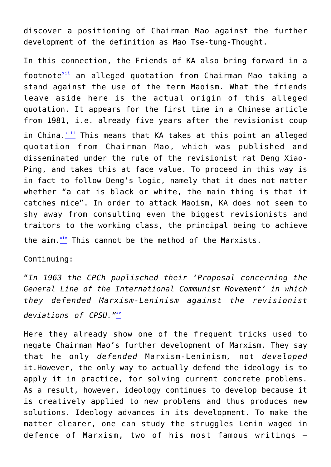discover a positioning of Chairman Mao against the further development of the definition as Mao Tse-tung-Thought.

In this connection, the Friends of KA also bring forward in a footnote<sup>[xii](#page--1-0)</sup> an alleged quotation from Chairman Mao taking a stand against the use of the term Maoism. What the friends leave aside here is the actual origin of this alleged quotation. It appears for the first time in a Chinese article from 1981, i.e. already five years after the revisionist coup in China. $\frac{x+1}{x+1}$  This means that KA takes at this point an alleged quotation from Chairman Mao, which was published and disseminated under the rule of the revisionist rat Deng Xiao-Ping, and takes this at face value. To proceed in this way is in fact to follow Deng's logic, namely that it does not matter whether "a cat is black or white, the main thing is that it catches mice". In order to attack Maoism, KA does not seem to shy away from consulting even the biggest revisionists and traitors to the working class, the principal being to achieve the  $a$ im. $x$ <sup>iv</sup> This cannot be the method of the Marxists.

Continuing:

"*In 1963 the CPCh puplisched their 'Proposal concerning the General Line of the International Communist Movement' in which they defended Marxism-Leninism against the revisionist deviations of CPSU."[xv](#page--1-0)*

Here they already show one of the frequent tricks used to negate Chairman Mao's further development of Marxism. They say that he only *defended* Marxism-Leninism*,* not *developed* it.However, the only way to actually defend the ideology is to apply it in practice, for solving current concrete problems. As a result, however, ideology continues to develop because it is creatively applied to new problems and thus produces new solutions. Ideology advances in its development. To make the matter clearer, one can study the struggles Lenin waged in defence of Marxism, two of his most famous writings –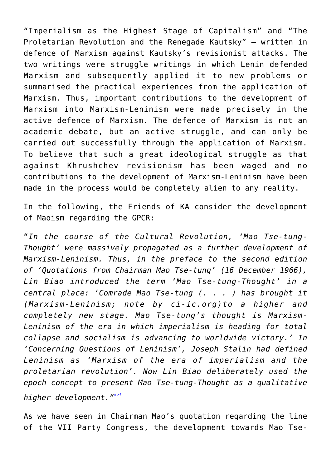"Imperialism as the Highest Stage of Capitalism" and "The Proletarian Revolution and the Renegade Kautsky" – written in defence of Marxism against Kautsky's revisionist attacks. The two writings were struggle writings in which Lenin defended Marxism and subsequently applied it to new problems or summarised the practical experiences from the application of Marxism. Thus, important contributions to the development of Marxism into Marxism-Leninism were made precisely in the active defence of Marxism. The defence of Marxism is not an academic debate, but an active struggle, and can only be carried out successfully through the application of Marxism. To believe that such a great ideological struggle as that against Khrushchev revisionism has been waged and no contributions to the development of Marxism-Leninism have been made in the process would be completely alien to any reality.

In the following, the Friends of KA consider the development of Maoism regarding the GPCR:

"*In the course of the Cultural Revolution, 'Mao Tse-tung-Thought' were massively propagated as a further development of Marxism-Leninism. Thus, in the preface to the second edition of 'Quotations from Chairman Mao Tse-tung' (16 December 1966), Lin Biao introduced the term 'Mao Tse-tung-Thought' in a central place: 'Comrade Mao Tse-tung (. . . ) has brought it (Marxism-Leninism; note by ci-ic.org)to a higher and completely new stage. Mao Tse-tung's thought is Marxism-Leninism of the era in which imperialism is heading for total collapse and socialism is advancing to worldwide victory.' In 'Concerning Questions of Leninism', Joseph Stalin had defined Leninism as 'Marxism of the era of imperialism and the proletarian revolution'. Now Lin Biao deliberately used the epoch concept to present Mao Tse-tung-Thought as a qualitative higher development."[xvi](#page--1-0)*

As we have seen in Chairman Mao's quotation regarding the line of the VII Party Congress, the development towards Mao Tse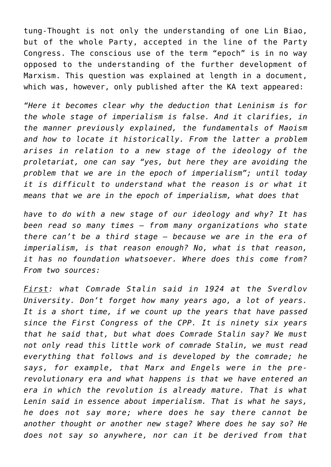tung-Thought is not only the understanding of one Lin Biao, but of the whole Party, accepted in the line of the Party Congress. The conscious use of the term "epoch" is in no way opposed to the understanding of the further development of Marxism. This question was explained at length in a document, which was, however, only published after the KA text appeared:

*"Here it becomes clear why the deduction that Leninism is for the whole stage of imperialism is false. And it clarifies, in the manner previously explained, the fundamentals of Maoism and how to locate it historically. From the latter a problem arises in relation to a new stage of the ideology of the proletariat, one can say "yes, but here they are avoiding the problem that we are in the epoch of imperialism"; until today it is difficult to understand what the reason is or what it means that we are in the epoch of imperialism, what does that*

*have to do with a new stage of our ideology and why? It has been read so many times – from many organizations who state there can't be a third stage – because we are in the era of imperialism, is that reason enough? No, what is that reason, it has no foundation whatsoever. Where does this come from? From two sources:*

*First: what Comrade Stalin said in 1924 at the Sverdlov University. Don't forget how many years ago, a lot of years. It is a short time, if we count up the years that have passed since the First Congress of the CPP. It is ninety six years that he said that, but what does Comrade Stalin say? We must not only read this little work of comrade Stalin, we must read everything that follows and is developed by the comrade; he says, for example, that Marx and Engels were in the prerevolutionary era and what happens is that we have entered an era in which the revolution is already mature. That is what Lenin said in essence about imperialism. That is what he says, he does not say more; where does he say there cannot be another thought or another new stage? Where does he say so? He does not say so anywhere, nor can it be derived from that*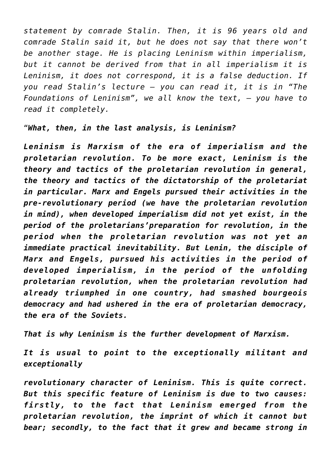*statement by comrade Stalin. Then, it is 96 years old and comrade Stalin said it, but he does not say that there won't be another stage. He is placing Leninism within imperialism, but it cannot be derived from that in all imperialism it is Leninism, it does not correspond, it is a false deduction. If you read Stalin's lecture – you can read it, it is in "The Foundations of Leninism", we all know the text, – you have to read it completely.*

"*What, then, in the last analysis, is Leninism?*

*Leninism is Marxism of the era of imperialism and the proletarian revolution. To be more exact, Leninism is the theory and tactics of the proletarian revolution in general, the theory and tactics of the dictatorship of the proletariat in particular. Marx and Engels pursued their activities in the pre-revolutionary period (we have the proletarian revolution in mind), when developed imperialism did not yet exist, in the period of the proletarians'preparation for revolution, in the period when the proletarian revolution was not yet an immediate practical inevitability. But Lenin, the disciple of Marx and Engels, pursued his activities in the period of developed imperialism, in the period of the unfolding proletarian revolution, when the proletarian revolution had already triumphed in one country, had smashed bourgeois democracy and had ushered in the era of proletarian democracy, the era of the Soviets.*

*That is why Leninism is the further development of Marxism.*

*It is usual to point to the exceptionally militant and exceptionally*

*revolutionary character of Leninism. This is quite correct. But this specific feature of Leninism is due to two causes: firstly, to the fact that Leninism emerged from the proletarian revolution, the imprint of which it cannot but bear; secondly, to the fact that it grew and became strong in*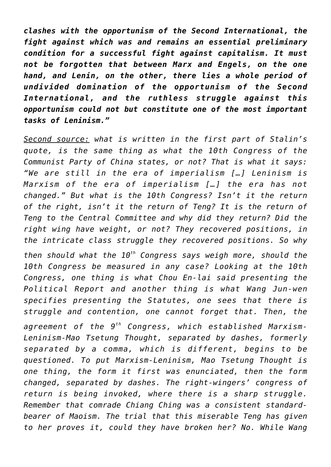*clashes with the opportunism of the Second International, the fight against which was and remains an essential preliminary condition for a successful fight against capitalism. It must not be forgotten that between Marx and Engels, on the one hand, and Lenin, on the other, there lies a whole period of undivided domination of the opportunism of the Second International, and the ruthless struggle against this opportunism could not but constitute one of the most important tasks of Leninism."*

*Second source: what is written in the first part of Stalin's quote, is the same thing as what the 10th Congress of the Communist Party of China states, or not? That is what it says: "We are still in the era of imperialism […] Leninism is Marxism of the era of imperialism […] the era has not changed." But what is the 10th Congress? Isn't it the return of the right, isn't it the return of Teng? It is the return of Teng to the Central Committee and why did they return? Did the right wing have weight, or not? They recovered positions, in the intricate class struggle they recovered positions. So why*

*then should what the 10th Congress says weigh more, should the 10th Congress be measured in any case? Looking at the 10th Congress, one thing is what Chou En-lai said presenting the Political Report and another thing is what Wang Jun-wen specifies presenting the Statutes, one sees that there is struggle and contention, one cannot forget that. Then, the*

*agreement of the 9th Congress, which established Marxism-Leninism-Mao Tsetung Thought, separated by dashes, formerly separated by a comma, which is different, begins to be questioned. To put Marxism-Leninism, Mao Tsetung Thought is one thing, the form it first was enunciated, then the form changed, separated by dashes. The right-wingers' congress of return is being invoked, where there is a sharp struggle. Remember that comrade Chiang Ching was a consistent standardbearer of Maoism. The trial that this miserable Teng has given to her proves it, could they have broken her? No. While Wang*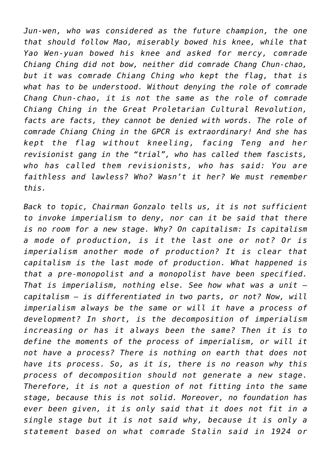*Jun-wen, who was considered as the future champion, the one that should follow Mao, miserably bowed his knee, while that Yao Wen-yuan bowed his knee and asked for mercy, comrade Chiang Ching did not bow, neither did comrade Chang Chun-chao, but it was comrade Chiang Ching who kept the flag, that is what has to be understood. Without denying the role of comrade Chang Chun-chao, it is not the same as the role of comrade Chiang Ching in the Great Proletarian Cultural Revolution, facts are facts, they cannot be denied with words. The role of comrade Chiang Ching in the GPCR is extraordinary! And she has kept the flag without kneeling, facing Teng and her revisionist gang in the "trial", who has called them fascists, who has called them revisionists, who has said: You are faithless and lawless? Who? Wasn't it her? We must remember this.*

*Back to topic, Chairman Gonzalo tells us, it is not sufficient to invoke imperialism to deny, nor can it be said that there is no room for a new stage. Why? On capitalism: Is capitalism a mode of production, is it the last one or not? Or is imperialism another mode of production? It is clear that capitalism is the last mode of production. What happened is that a pre-monopolist and a monopolist have been specified. That is imperialism, nothing else. See how what was a unit – capitalism – is differentiated in two parts, or not? Now, will imperialism always be the same or will it have a process of development? In short, is the decomposition of imperialism increasing or has it always been the same? Then it is to define the moments of the process of imperialism, or will it not have a process? There is nothing on earth that does not have its process. So, as it is, there is no reason why this process of decomposition should not generate a new stage. Therefore, it is not a question of not fitting into the same stage, because this is not solid. Moreover, no foundation has ever been given, it is only said that it does not fit in a single stage but it is not said why, because it is only a statement based on what comrade Stalin said in 1924 or*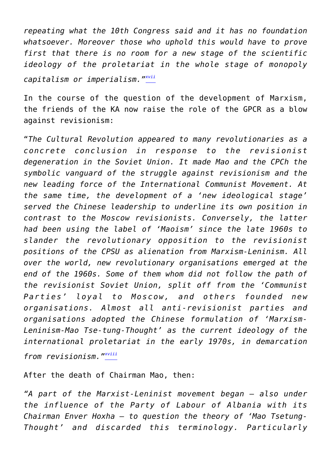*repeating what the 10th Congress said and it has no foundation whatsoever. Moreover those who uphold this would have to prove first that there is no room for a new stage of the scientific ideology of the proletariat in the whole stage of monopoly capitalism or imperialism."[xvii](#page--1-0)*

In the course of the question of the development of Marxism, the friends of the KA now raise the role of the GPCR as a blow against revisionism:

"*The Cultural Revolution appeared to many revolutionaries as a concrete conclusion in response to the revisionist degeneration in the Soviet Union. It made Mao and the CPCh the symbolic vanguard of the struggle against revisionism and the new leading force of the International Communist Movement. At the same time, the development of a 'new ideological stage' served the Chinese leadership to underline its own position in contrast to the Moscow revisionists. Conversely, the latter had been using the label of 'Maoism' since the late 1960s to slander the revolutionary opposition to the revisionist positions of the CPSU as alienation from Marxism-Leninism. All over the world, new revolutionary organisations emerged at the end of the 1960s. Some of them whom did not follow the path of the revisionist Soviet Union, split off from the 'Communist Parties' loyal to Moscow, and others founded new organisations. Almost all anti-revisionist parties and organisations adopted the Chinese formulation of 'Marxism-Leninism-Mao Tse-tung-Thought' as the current ideology of the international proletariat in the early 1970s, in demarcation from revisionism."[xviii](#page--1-0)*

After the death of Chairman Mao, then:

*"A part of the Marxist-Leninist movement began – also under the influence of the Party of Labour of Albania with its Chairman Enver Hoxha – to question the theory of 'Mao Tsetung-Thought' and discarded this terminology. Particularly*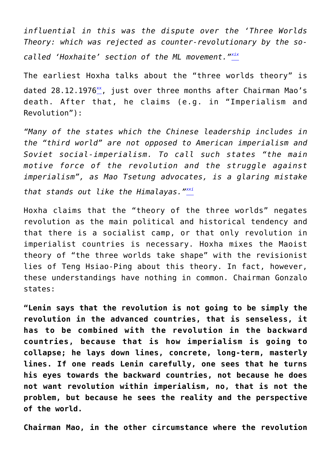*influential in this was the dispute over the 'Three Worlds Theory: which was rejected as counter-revolutionary by the socalled 'Hoxhaite' section of the ML movement."[xix](#page--1-0)*

The earliest Hoxha talks about the "three worlds theory" is dated  $28.12.1976^{xx}$  $28.12.1976^{xx}$  $28.12.1976^{xx}$ , just over three months after Chairman Mao's death. After that, he claims (e.g. in "Imperialism and Revolution"):

*"Many of the states which the Chinese leadership includes in the "third world" are not opposed to American imperialism and Soviet social-imperialism. To call such states "the main motive force of the revolution and the struggle against imperialism", as Mao Tsetung advocates, is a glaring mistake that stands out like the Himalayas."[xxi](#page--1-0)*

Hoxha claims that the "theory of the three worlds" negates revolution as the main political and historical tendency and that there is a socialist camp, or that only revolution in imperialist countries is necessary. Hoxha mixes the Maoist theory of "the three worlds take shape" with the revisionist lies of Teng Hsiao-Ping about this theory. In fact, however, these understandings have nothing in common. Chairman Gonzalo states:

**"Lenin says that the revolution is not going to be simply the revolution in the advanced countries, that is senseless, it has to be combined with the revolution in the backward countries, because that is how imperialism is going to collapse; he lays down lines, concrete, long-term, masterly lines. If one reads Lenin carefully, one sees that he turns his eyes towards the backward countries, not because he does not want revolution within imperialism, no, that is not the problem, but because he sees the reality and the perspective of the world.**

**Chairman Mao, in the other circumstance where the revolution**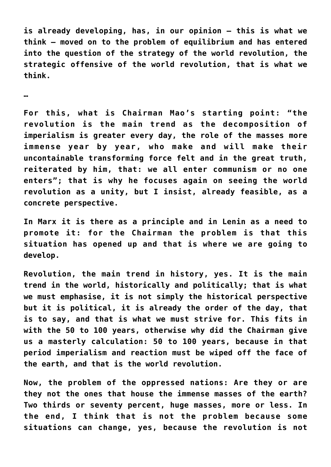**is already developing, has, in our opinion – this is what we think – moved on to the problem of equilibrium and has entered into the question of the strategy of the world revolution, the strategic offensive of the world revolution, that is what we think.**

**…**

**For this, what is Chairman Mao's starting point: "the revolution is the main trend as the decomposition of imperialism is greater every day, the role of the masses more immense year by year, who make and will make their uncontainable transforming force felt and in the great truth, reiterated by him, that: we all enter communism or no one enters"; that is why he focuses again on seeing the world revolution as a unity, but I insist, already feasible, as a concrete perspective.**

**In Marx it is there as a principle and in Lenin as a need to promote it: for the Chairman the problem is that this situation has opened up and that is where we are going to develop.**

**Revolution, the main trend in history, yes. It is the main trend in the world, historically and politically; that is what we must emphasise, it is not simply the historical perspective but it is political, it is already the order of the day, that is to say, and that is what we must strive for. This fits in with the 50 to 100 years, otherwise why did the Chairman give us a masterly calculation: 50 to 100 years, because in that period imperialism and reaction must be wiped off the face of the earth, and that is the world revolution.**

**Now, the problem of the oppressed nations: Are they or are they not the ones that house the immense masses of the earth? Two thirds or seventy percent, huge masses, more or less. In the end, I think that is not the problem because some situations can change, yes, because the revolution is not**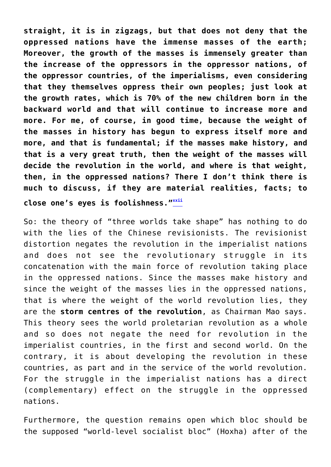**straight, it is in zigzags, but that does not deny that the oppressed nations have the immense masses of the earth; Moreover, the growth of the masses is immensely greater than the increase of the oppressors in the oppressor nations, of the oppressor countries, of the imperialisms, even considering that they themselves oppress their own peoples; just look at the growth rates, which is 70% of the new children born in the backward world and that will continue to increase more and more. For me, of course, in good time, because the weight of the masses in history has begun to express itself more and more, and that is fundamental; if the masses make history, and that is a very great truth, then the weight of the masses will decide the revolution in the world, and where is that weight, then, in the oppressed nations? There I don't think there is much to discuss, if they are material realities, facts; to close one's eyes is foolishness."[xxii](#page--1-0)**

So: the theory of "three worlds take shape" has nothing to do with the lies of the Chinese revisionists. The revisionist distortion negates the revolution in the imperialist nations and does not see the revolutionary struggle in its concatenation with the main force of revolution taking place in the oppressed nations. Since the masses make history and since the weight of the masses lies in the oppressed nations, that is where the weight of the world revolution lies, they are the **storm centres of the revolution**, as Chairman Mao says. This theory sees the world proletarian revolution as a whole and so does not negate the need for revolution in the imperialist countries, in the first and second world. On the contrary, it is about developing the revolution in these countries, as part and in the service of the world revolution. For the struggle in the imperialist nations has a direct (complementary) effect on the struggle in the oppressed nations.

Furthermore, the question remains open which bloc should be the supposed "world-level socialist bloc" (Hoxha) after of the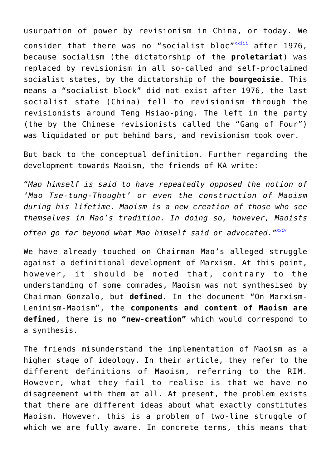usurpation of power by revisionism in China, or today. We consider that there was no "socialist bloc"<sup>[xxiii](#page--1-0)</sup> after 1976, because socialism (the dictatorship of the **proletariat**) was replaced by revisionism in all so-called and self-proclaimed socialist states, by the dictatorship of the **bourgeoisie**. This means a "socialist block" did not exist after 1976, the last socialist state (China) fell to revisionism through the revisionists around Teng Hsiao-ping. The left in the party (the by the Chinese revisionists called the "Gang of Four") was liquidated or put behind bars, and revisionism took over.

But back to the conceptual definition. Further regarding the development towards Maoism, the friends of KA write:

"*Mao himself is said to have repeatedly opposed the notion of 'Mao Tse-tung-Thought' or even the construction of Maoism during his lifetime. Maoism is a new creation of those who see themselves in Mao's tradition. In doing so, however, Maoists*

*often go far beyond what Mao himself said or advocated."[xxiv](#page--1-0)*

We have already touched on Chairman Mao's alleged struggle against a definitional development of Marxism. At this point, however, it should be noted that, contrary to the understanding of some comrades, Maoism was not synthesised by Chairman Gonzalo, but **defined**. In the document "On Marxism-Leninism-Maoism", the **components and content of Maoism are defined**, there is **no "new-creation"** which would correspond to a synthesis.

The friends misunderstand the implementation of Maoism as a higher stage of ideology. In their article, they refer to the different definitions of Maoism, referring to the RIM. However, what they fail to realise is that we have no disagreement with them at all. At present, the problem exists that there are different ideas about what exactly constitutes Maoism. However, this is a problem of two-line struggle of which we are fully aware. In concrete terms, this means that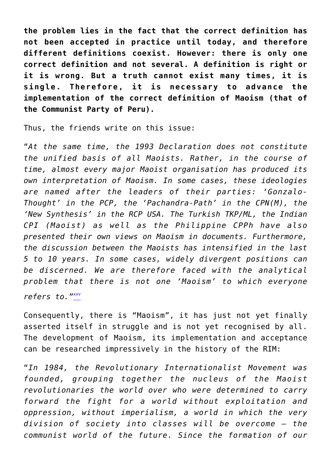**the problem lies in the fact that the correct definition has not been accepted in practice until today, and therefore different definitions coexist. However: there is only one correct definition and not several. A definition is right or it is wrong. But a truth cannot exist many times, it is single. Therefore, it is necessary to advance the implementation of the correct definition of Maoism (that of the Communist Party of Peru).**

Thus, the friends write on this issue:

"*At the same time, the 1993 Declaration does not constitute the unified basis of all Maoists. Rather, in the course of time, almost every major Maoist organisation has produced its own interpretation of Maoism. In some cases, these ideologies are named after the leaders of their parties: 'Gonzalo-Thought' in the PCP, the 'Pachandra-Path' in the CPN(M), the 'New Synthesis' in the RCP USA. The Turkish TKP/ML, the Indian CPI (Maoist) as well as the Philippine CPPh have also presented their own views on Maoism in documents. Furthermore, the discussion between the Maoists has intensified in the last 5 to 10 years. In some cases, widely divergent positions can be discerned. We are therefore faced with the analytical problem that there is not one 'Maoism' to which everyone refers to."[xxv](#page--1-0)*

Consequently, there is "Maoism", it has just not yet finally asserted itself in struggle and is not yet recognised by all. The development of Maoism, its implementation and acceptance can be researched impressively in the history of the RIM:

"*In 1984, the Revolutionary Internationalist Movement was founded, grouping together the nucleus of the Maoist revolutionaries the world over who were determined to carry forward the fight for a world without exploitation and oppression, without imperialism, a world in which the very division of society into classes will be overcome — the communist world of the future. Since the formation of our*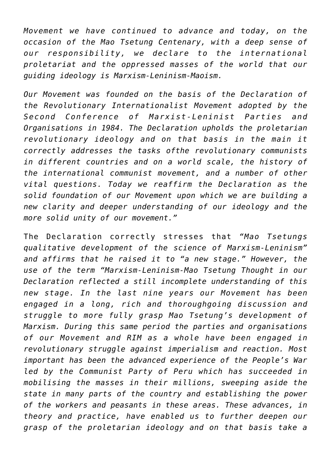*Movement we have continued to advance and today, on the occasion of the Mao Tsetung Centenary, with a deep sense of our responsibility, we declare to the international proletariat and the oppressed masses of the world that our guiding ideology is Marxism-Leninism-Maoism.*

*Our Movement was founded on the basis of the Declaration of the Revolutionary Internationalist Movement adopted by the Second Conference of Marxist-Leninist Parties and Organisations in 1984. The Declaration upholds the proletarian revolutionary ideology and on that basis in the main it correctly addresses the tasks ofthe revolutionary communists in different countries and on a world scale, the history of the international communist movement, and a number of other vital questions. Today we reaffirm the Declaration as the solid foundation of our Movement upon which we are building a new clarity and deeper understanding of our ideology and the more solid unity of our movement."*

The Declaration correctly stresses that *"Mao Tsetungs qualitative development of the science of Marxism-Leninism" and affirms that he raised it to "a new stage." However, the use of the term "Marxism-Leninism-Mao Tsetung Thought in our Declaration reflected a still incomplete understanding of this new stage. In the last nine years our Movement has been engaged in a long, rich and thoroughgoing discussion and struggle to more fully grasp Mao Tsetung's development of Marxism. During this same period the parties and organisations of our Movement and RIM as a whole have been engaged in revolutionary struggle against imperialism and reaction. Most important has been the advanced experience of the People's War led by the Communist Party of Peru which has succeeded in mobilising the masses in their millions, sweeping aside the state in many parts of the country and establishing the power of the workers and peasants in these areas. These advances, in theory and practice, have enabled us to further deepen our grasp of the proletarian ideology and on that basis take a*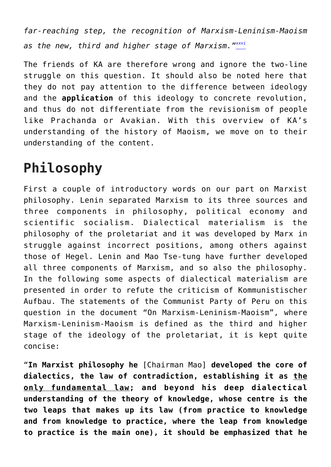*far-reaching step, the recognition of Marxism-Leninism-Maoism* as the new, third and higher stage of Marxism." $\frac{mxx}{mx}$ 

The friends of KA are therefore wrong and ignore the two-line struggle on this question. It should also be noted here that they do not pay attention to the difference between ideology and the **application** of this ideology to concrete revolution, and thus do not differentiate from the revisionism of people like Prachanda or Avakian. With this overview of KA's understanding of the history of Maoism, we move on to their understanding of the content.

## **Philosophy**

First a couple of introductory words on our part on Marxist philosophy. Lenin separated Marxism to its three sources and three components in philosophy, political economy and scientific socialism. Dialectical materialism is the philosophy of the proletariat and it was developed by Marx in struggle against incorrect positions, among others against those of Hegel. Lenin and Mao Tse-tung have further developed all three components of Marxism, and so also the philosophy. In the following some aspects of dialectical materialism are presented in order to refute the criticism of Kommunistischer Aufbau. The statements of the Communist Party of Peru on this question in the document "On Marxism-Leninism-Maoism", where Marxism-Leninism-Maoism is defined as the third and higher stage of the ideology of the proletariat, it is kept quite concise:

"**In Marxist philosophy he** [Chairman Mao] **developed the core of dialectics, the law of contradiction, establishing it as the only fundamental law; and beyond his deep dialectical understanding of the theory of knowledge, whose centre is the two leaps that makes up its law (from practice to knowledge and from knowledge to practice, where the leap from knowledge to practice is the main one), it should be emphasized that he**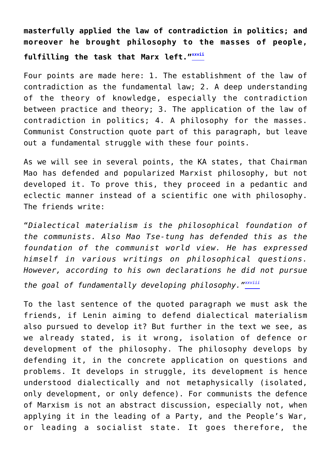**masterfully applied the law of contradiction in politics; and moreover he brought philosophy to the masses of people, fulfilling the task that Marx left."[xxvii](#page--1-0)**

Four points are made here: 1. The establishment of the law of contradiction as the fundamental law; 2. A deep understanding of the theory of knowledge, especially the contradiction between practice and theory; 3. The application of the law of contradiction in politics; 4. A philosophy for the masses. Communist Construction quote part of this paragraph, but leave out a fundamental struggle with these four points.

As we will see in several points, the KA states, that Chairman Mao has defended and popularized Marxist philosophy, but not developed it. To prove this, they proceed in a pedantic and eclectic manner instead of a scientific one with philosophy. The friends write:

"*Dialectical materialism is the philosophical foundation of the communists. Also Mao Tse-tung has defended this as the foundation of the communist world view. He has expressed himself in various writings on philosophical questions. However, according to his own declarations he did not pursue the goal of fundamentally developing philosophy." [xxviii](#page--1-0)*

To the last sentence of the quoted paragraph we must ask the friends, if Lenin aiming to defend dialectical materialism also pursued to develop it? But further in the text we see, as we already stated, is it wrong, isolation of defence or development of the philosophy. The philosophy develops by defending it, in the concrete application on questions and problems. It develops in struggle, its development is hence understood dialectically and not metaphysically (isolated, only development, or only defence). For communists the defence of Marxism is not an abstract discussion, especially not, when applying it in the leading of a Party, and the People's War, or leading a socialist state. It goes therefore, the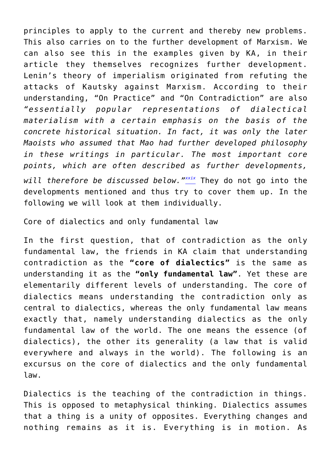principles to apply to the current and thereby new problems. This also carries on to the further development of Marxism. We can also see this in the examples given by KA, in their article they themselves recognizes further development. Lenin's theory of imperialism originated from refuting the attacks of Kautsky against Marxism. According to their understanding, "On Practice" and "On Contradiction" are also *"essentially popular representations of dialectical materialism with a certain emphasis on the basis of the concrete historical situation. In fact, it was only the later Maoists who assumed that Mao had further developed philosophy in these writings in particular. The most important core points, which are often described as further developments, will therefore be discussed below."[xxix](#page--1-0)* They do not go into the developments mentioned and thus try to cover them up. In the following we will look at them individually.

Core of dialectics and only fundamental law

In the first question, that of contradiction as the only fundamental law, the friends in KA claim that understanding contradiction as the **"core of dialectics"** is the same as understanding it as the **"only fundamental law"**. Yet these are elementarily different levels of understanding. The core of dialectics means understanding the contradiction only as central to dialectics, whereas the only fundamental law means exactly that, namely understanding dialectics as the only fundamental law of the world. The one means the essence (of dialectics), the other its generality (a law that is valid everywhere and always in the world). The following is an excursus on the core of dialectics and the only fundamental law.

Dialectics is the teaching of the contradiction in things. This is opposed to metaphysical thinking. Dialectics assumes that a thing is a unity of opposites. Everything changes and nothing remains as it is. Everything is in motion. As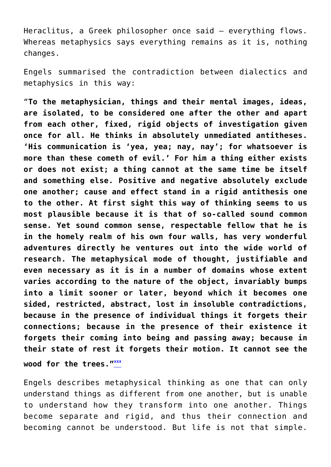Heraclitus, a Greek philosopher once said – everything flows. Whereas metaphysics says everything remains as it is, nothing changes.

Engels summarised the contradiction between dialectics and metaphysics in this way:

"**To the metaphysician, things and their mental images, ideas, are isolated, to be considered one after the other and apart from each other, fixed, rigid objects of investigation given once for all. He thinks in absolutely unmediated antitheses. 'His communication is 'yea, yea; nay, nay'; for whatsoever is more than these cometh of evil.' For him a thing either exists or does not exist; a thing cannot at the same time be itself and something else. Positive and negative absolutely exclude one another; cause and effect stand in a rigid antithesis one to the other. At first sight this way of thinking seems to us most plausible because it is that of so-called sound common sense. Yet sound common sense, respectable fellow that he is in the homely realm of his own four walls, has very wonderful adventures directly he ventures out into the wide world of research. The metaphysical mode of thought, justifiable and even necessary as it is in a number of domains whose extent varies according to the nature of the object, invariably bumps into a limit sooner or later, beyond which it becomes one sided, restricted, abstract, lost in insoluble contradictions, because in the presence of individual things it forgets their connections; because in the presence of their existence it forgets their coming into being and passing away; because in their state of rest it forgets their motion. It cannot see the wood for the trees."[xxx](#page--1-0)**

Engels describes metaphysical thinking as one that can only understand things as different from one another, but is unable to understand how they transform into one another. Things become separate and rigid, and thus their connection and becoming cannot be understood. But life is not that simple.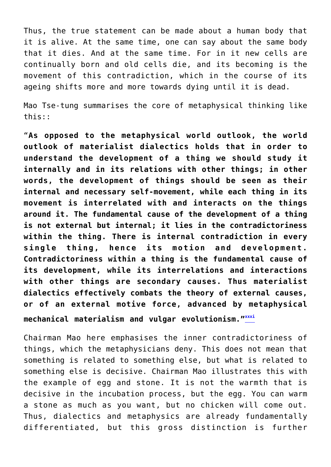Thus, the true statement can be made about a human body that it is alive. At the same time, one can say about the same body that it dies. And at the same time. For in it new cells are continually born and old cells die, and its becoming is the movement of this contradiction, which in the course of its ageing shifts more and more towards dying until it is dead.

Mao Tse-tung summarises the core of metaphysical thinking like this::

"**As opposed to the metaphysical world outlook, the world outlook of materialist dialectics holds that in order to understand the development of a thing we should study it internally and in its relations with other things; in other words, the development of things should be seen as their internal and necessary self-movement, while each thing in its movement is interrelated with and interacts on the things around it. The fundamental cause of the development of a thing is not external but internal; it lies in the contradictoriness within the thing. There is internal contradiction in every single thing, hence its motion and development. Contradictoriness within a thing is the fundamental cause of its development, while its interrelations and interactions with other things are secondary causes. Thus materialist dialectics effectively combats the theory of external causes, or of an external motive force, advanced by metaphysical mechanical materialism and vulgar evolutionism."[xxxi](#page--1-0)**

Chairman Mao here emphasises the inner contradictoriness of things, which the metaphysicians deny. This does not mean that something is related to something else, but what is related to something else is decisive. Chairman Mao illustrates this with the example of egg and stone. It is not the warmth that is decisive in the incubation process, but the egg. You can warm a stone as much as you want, but no chicken will come out. Thus, dialectics and metaphysics are already fundamentally differentiated, but this gross distinction is further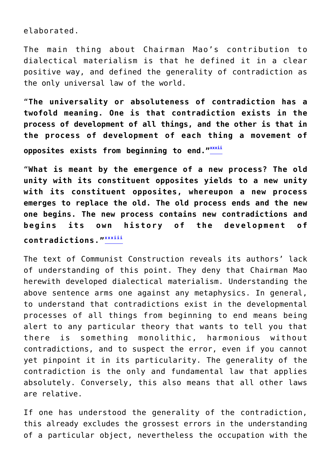elaborated.

The main thing about Chairman Mao's contribution to dialectical materialism is that he defined it in a clear positive way, and defined the generality of contradiction as the only universal law of the world.

"**The universality or absoluteness of contradiction has a twofold meaning. One is that contradiction exists in the process of development of all things, and the other is that in the process of development of each thing a movement of opposites exists from beginning to end."[xxxii](#page--1-0)**

"**What is meant by the emergence of a new process? The old unity with its constituent opposites yields to a new unity with its constituent opposites, whereupon a new process emerges to replace the old. The old process ends and the new one begins. The new process contains new contradictions and begins its own history of the development of contradictions."[xxxiii](#page--1-0)**

The text of Communist Construction reveals its authors' lack of understanding of this point. They deny that Chairman Mao herewith developed dialectical materialism. Understanding the above sentence arms one against any metaphysics. In general, to understand that contradictions exist in the developmental processes of all things from beginning to end means being alert to any particular theory that wants to tell you that there is something monolithic, harmonious without contradictions, and to suspect the error, even if you cannot yet pinpoint it in its particularity. The generality of the contradiction is the only and fundamental law that applies absolutely. Conversely, this also means that all other laws are relative.

If one has understood the generality of the contradiction, this already excludes the grossest errors in the understanding of a particular object, nevertheless the occupation with the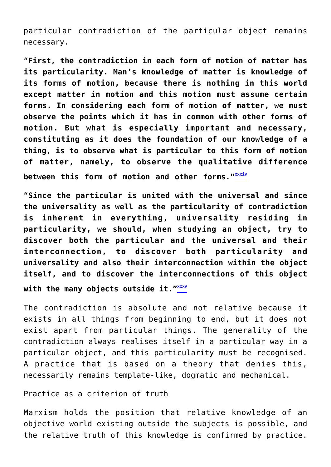particular contradiction of the particular object remains necessary.

"**First, the contradiction in each form of motion of matter has its particularity. Man's knowledge of matter is knowledge of its forms of motion, because there is nothing in this world except matter in motion and this motion must assume certain forms. In considering each form of motion of matter, we must observe the points which it has in common with other forms of motion. But what is especially important and necessary, constituting as it does the foundation of our knowledge of a thing, is to observe what is particular to this form of motion of matter, namely, to observe the qualitative difference between this form of motion and other forms."[xxxiv](#page--1-0)**

"**Since the particular is united with the universal and since the universality as well as the particularity of contradiction is inherent in everything, universality residing in particularity, we should, when studying an object, try to discover both the particular and the universal and their interconnection, to discover both particularity and universality and also their interconnection within the object itself, and to discover the interconnections of this object with the many objects outside it."[xxxv](#page--1-0)**

The contradiction is absolute and not relative because it exists in all things from beginning to end, but it does not exist apart from particular things. The generality of the contradiction always realises itself in a particular way in a particular object, and this particularity must be recognised. A practice that is based on a theory that denies this, necessarily remains template-like, dogmatic and mechanical.

Practice as a criterion of truth

Marxism holds the position that relative knowledge of an objective world existing outside the subjects is possible, and the relative truth of this knowledge is confirmed by practice.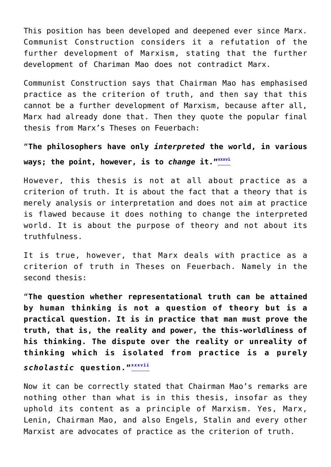This position has been developed and deepened ever since Marx. Communist Construction considers it a refutation of the further development of Marxism, stating that the further development of Chariman Mao does not contradict Marx.

Communist Construction says that Chairman Mao has emphasised practice as the criterion of truth, and then say that this cannot be a further development of Marxism, because after all, Marx had already done that. Then they quote the popular final thesis from Marx's Theses on Feuerbach:

"**The philosophers have only** *interpreted* **the world, in various** ways; the point, however, is to *change* it. "XXXXVI

However, this thesis is not at all about practice as a criterion of truth. It is about the fact that a theory that is merely analysis or interpretation and does not aim at practice is flawed because it does nothing to change the interpreted world. It is about the purpose of theory and not about its truthfulness.

It is true, however, that Marx deals with practice as a criterion of truth in Theses on Feuerbach. Namely in the second thesis:

"**The question whether representational truth can be attained by human thinking is not a question of theory but is a practical question. It is in practice that man must prove the truth, that is, the reality and power, the this-worldliness of his thinking. The dispute over the reality or unreality of thinking which is isolated from practice is a purely** *scholastic* **question."[xxxvii](#page--1-0)**

Now it can be correctly stated that Chairman Mao's remarks are nothing other than what is in this thesis, insofar as they uphold its content as a principle of Marxism. Yes, Marx, Lenin, Chairman Mao, and also Engels, Stalin and every other Marxist are advocates of practice as the criterion of truth.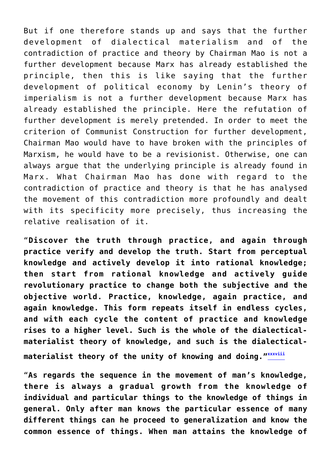But if one therefore stands up and says that the further development of dialectical materialism and of the contradiction of practice and theory by Chairman Mao is not a further development because Marx has already established the principle, then this is like saying that the further development of political economy by Lenin's theory of imperialism is not a further development because Marx has already established the principle. Here the refutation of further development is merely pretended. In order to meet the criterion of Communist Construction for further development, Chairman Mao would have to have broken with the principles of Marxism, he would have to be a revisionist. Otherwise, one can always argue that the underlying principle is already found in Marx. What Chairman Mao has done with regard to the contradiction of practice and theory is that he has analysed the movement of this contradiction more profoundly and dealt with its specificity more precisely, thus increasing the relative realisation of it.

"**Discover the truth through practice, and again through practice verify and develop the truth. Start from perceptual knowledge and actively develop it into rational knowledge; then start from rational knowledge and actively guide revolutionary practice to change both the subjective and the objective world. Practice, knowledge, again practice, and again knowledge. This form repeats itself in endless cycles, and with each cycle the content of practice and knowledge rises to a higher level. Such is the whole of the dialecticalmaterialist theory of knowledge, and such is the dialectical**materialist theory of the unity of knowing and doing." $\frac{N}{2}$ 

"**As regards the sequence in the movement of man's knowledge, there is always a gradual growth from the knowledge of individual and particular things to the knowledge of things in general. Only after man knows the particular essence of many different things can he proceed to generalization and know the common essence of things. When man attains the knowledge of**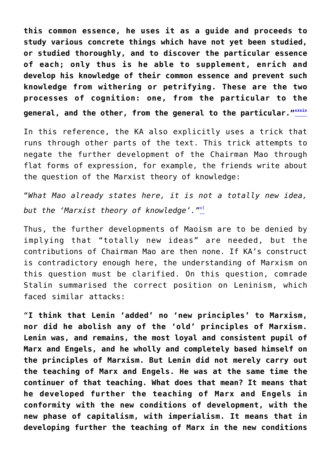**this common essence, he uses it as a guide and proceeds to study various concrete things which have not yet been studied, or studied thoroughly, and to discover the particular essence of each; only thus is he able to supplement, enrich and develop his knowledge of their common essence and prevent such knowledge from withering or petrifying. These are the two processes of cognition: one, from the particular to the** general, and the other, from the general to the particular."

In this reference, the KA also explicitly uses a trick that runs through other parts of the text. This trick attempts to negate the further development of the Chairman Mao through flat forms of expression, for example, the friends write about the question of the Marxist theory of knowledge:

"*What Mao already states here, it is not a totally new idea, but the 'Marxist theory of knowledge'."[xl](#page--1-0)*

Thus, the further developments of Maoism are to be denied by implying that "totally new ideas" are needed, but the contributions of Chairman Mao are then none. If KA's construct is contradictory enough here, the understanding of Marxism on this question must be clarified. On this question, comrade Stalin summarised the correct position on Leninism, which faced similar attacks:

"**I think that Lenin 'added' no 'new principles' to Marxism, nor did he abolish any of the 'old' principles of Marxism. Lenin was, and remains, the most loyal and consistent pupil of Marx and Engels, and he wholly and completely based himself on the principles of Marxism. But Lenin did not merely carry out the teaching of Marx and Engels. He was at the same time the continuer of that teaching. What does that mean? It means that he developed further the teaching of Marx and Engels in conformity with the new conditions of development, with the new phase of capitalism, with imperialism. It means that in developing further the teaching of Marx in the new conditions**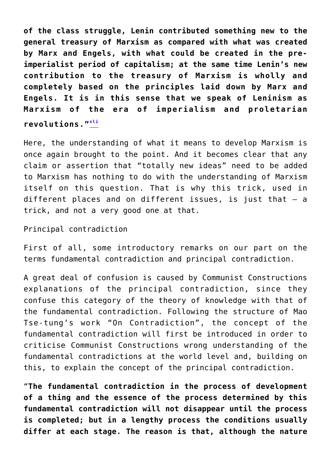**of the class struggle, Lenin contributed something new to the general treasury of Marxism as compared with what was created by Marx and Engels, with what could be created in the preimperialist period of capitalism; at the same time Lenin's new contribution to the treasury of Marxism is wholly and completely based on the principles laid down by Marx and Engels. It is in this sense that we speak of Leninism as Marxism of the era of imperialism and proletarian revolutions."[xli](#page--1-0)**

Here, the understanding of what it means to develop Marxism is once again brought to the point. And it becomes clear that any claim or assertion that "totally new ideas" need to be added to Marxism has nothing to do with the understanding of Marxism itself on this question. That is why this trick, used in different places and on different issues, is just that – a trick, and not a very good one at that.

Principal contradiction

First of all, some introductory remarks on our part on the terms fundamental contradiction and principal contradiction.

A great deal of confusion is caused by Communist Constructions explanations of the principal contradiction, since they confuse this category of the theory of knowledge with that of the fundamental contradiction. Following the structure of Mao Tse-tung's work "On Contradiction", the concept of the fundamental contradiction will first be introduced in order to criticise Communist Constructions wrong understanding of the fundamental contradictions at the world level and, building on this, to explain the concept of the principal contradiction.

"**The fundamental contradiction in the process of development of a thing and the essence of the process determined by this fundamental contradiction will not disappear until the process is completed; but in a lengthy process the conditions usually differ at each stage. The reason is that, although the nature**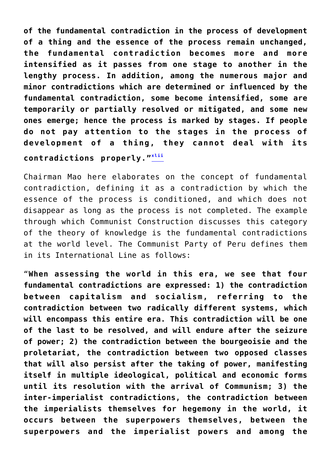**of the fundamental contradiction in the process of development of a thing and the essence of the process remain unchanged, the fundamental contradiction becomes more and more intensified as it passes from one stage to another in the lengthy process. In addition, among the numerous major and minor contradictions which are determined or influenced by the fundamental contradiction, some become intensified, some are temporarily or partially resolved or mitigated, and some new ones emerge; hence the process is marked by stages. If people do not pay attention to the stages in the process of development of a thing, they cannot deal with its contradictions properly."[xlii](#page--1-0)**

Chairman Mao here elaborates on the concept of fundamental contradiction, defining it as a contradiction by which the essence of the process is conditioned, and which does not disappear as long as the process is not completed. The example through which Communist Construction discusses this category of the theory of knowledge is the fundamental contradictions at the world level. The Communist Party of Peru defines them in its International Line as follows:

"**When assessing the world in this era, we see that four fundamental contradictions are expressed: 1) the contradiction between capitalism and socialism, referring to the contradiction between two radically different systems, which will encompass this entire era. This contradiction will be one of the last to be resolved, and will endure after the seizure of power; 2) the contradiction between the bourgeoisie and the proletariat, the contradiction between two opposed classes that will also persist after the taking of power, manifesting itself in multiple ideological, political and economic forms until its resolution with the arrival of Communism; 3) the inter-imperialist contradictions, the contradiction between the imperialists themselves for hegemony in the world, it occurs between the superpowers themselves, between the superpowers and the imperialist powers and among the**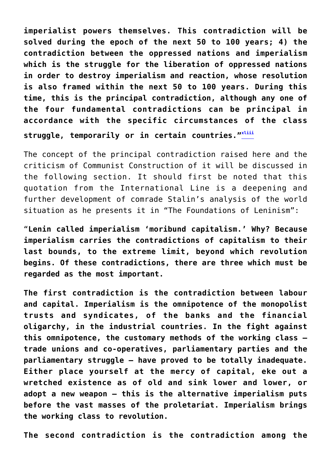**imperialist powers themselves. This contradiction will be solved during the epoch of the next 50 to 100 years; 4) the contradiction between the oppressed nations and imperialism which is the struggle for the liberation of oppressed nations in order to destroy imperialism and reaction, whose resolution is also framed within the next 50 to 100 years. During this time, this is the principal contradiction, although any one of the four fundamental contradictions can be principal in accordance with the specific circumstances of the class struggle, temporarily or in certain countries."[xliii](#page--1-0)**

The concept of the principal contradiction raised here and the criticism of Communist Construction of it will be discussed in the following section. It should first be noted that this quotation from the International Line is a deepening and further development of comrade Stalin's analysis of the world situation as he presents it in "The Foundations of Leninism":

"**Lenin called imperialism 'moribund capitalism.' Why? Because imperialism carries the contradictions of capitalism to their last bounds, to the extreme limit, beyond which revolution begins. Of these contradictions, there are three which must be regarded as the most important.**

**The first contradiction is the contradiction between labour and capital. Imperialism is the omnipotence of the monopolist trusts and syndicates, of the banks and the financial oligarchy, in the industrial countries. In the fight against this omnipotence, the customary methods of the working class – trade unions and co-operatives, parliamentary parties and the parliamentary struggle — have proved to be totally inadequate. Either place yourself at the mercy of capital, eke out a wretched existence as of old and sink lower and lower, or adopt a new weapon — this is the alternative imperialism puts before the vast masses of the proletariat. Imperialism brings the working class to revolution.**

**The second contradiction is the contradiction among the**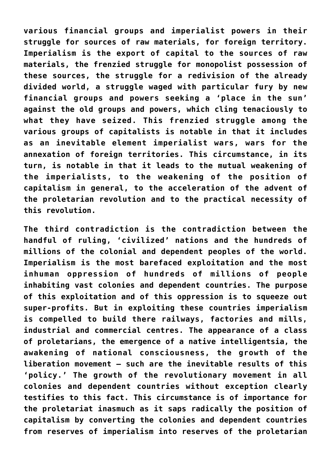**various financial groups and imperialist powers in their struggle for sources of raw materials, for foreign territory. Imperialism is the export of capital to the sources of raw materials, the frenzied struggle for monopolist possession of these sources, the struggle for a redivision of the already divided world, a struggle waged with particular fury by new financial groups and powers seeking a 'place in the sun' against the old groups and powers, which cling tenaciously to what they have seized. This frenzied struggle among the various groups of capitalists is notable in that it includes as an inevitable element imperialist wars, wars for the annexation of foreign territories. This circumstance, in its turn, is notable in that it leads to the mutual weakening of the imperialists, to the weakening of the position of capitalism in general, to the acceleration of the advent of the proletarian revolution and to the practical necessity of this revolution.**

**The third contradiction is the contradiction between the handful of ruling, 'civilized' nations and the hundreds of millions of the colonial and dependent peoples of the world. Imperialism is the most barefaced exploitation and the most inhuman oppression of hundreds of millions of people inhabiting vast colonies and dependent countries. The purpose of this exploitation and of this oppression is to squeeze out super-profits. But in exploiting these countries imperialism is compelled to build there railways, factories and mills, industrial and commercial centres. The appearance of a class of proletarians, the emergence of a native intelligentsia, the awakening of national consciousness, the growth of the liberation movement – such are the inevitable results of this 'policy.' The growth of the revolutionary movement in all colonies and dependent countries without exception clearly testifies to this fact. This circumstance is of importance for the proletariat inasmuch as it saps radically the position of capitalism by converting the colonies and dependent countries from reserves of imperialism into reserves of the proletarian**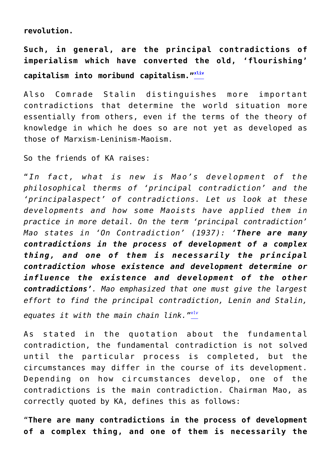**revolution.**

**Such, in general, are the principal contradictions of imperialism which have converted the old, 'flourishing' capitalism into moribund capitalism."[xliv](#page--1-0)**

Also Comrade Stalin distinguishes more important contradictions that determine the world situation more essentially from others, even if the terms of the theory of knowledge in which he does so are not yet as developed as those of Marxism-Leninism-Maoism.

So the friends of KA raises:

"*In fact, what is new is Mao's development of the philosophical therms of 'principal contradiction' and the 'principalaspect' of contradictions. Let us look at these developments and how some Maoists have applied them in practice in more detail. On the term 'principal contradiction' Mao states in 'On Contradiction' (1937): 'There are many contradictions in the process of development of a complex thing, and one of them is necessarily the principal contradiction whose existence and development determine or influence the existence and development of the other contradictions'. Mao emphasized that one must give the largest effort to find the principal contradiction, Lenin and Stalin,* equates it with the main chain link. "XIV

As stated in the quotation about the fundamental contradiction, the fundamental contradiction is not solved until the particular process is completed, but the circumstances may differ in the course of its development. Depending on how circumstances develop, one of the contradictions is the main contradiction. Chairman Mao, as correctly quoted by KA, defines this as follows:

"**There are many contradictions in the process of development of a complex thing, and one of them is necessarily the**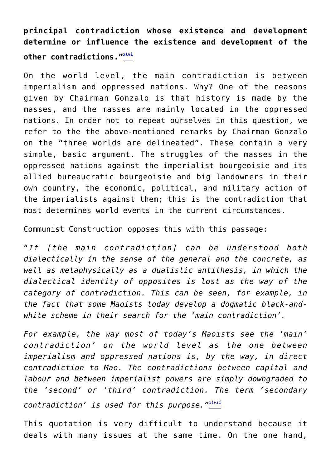## **principal contradiction whose existence and development determine or influence the existence and development of the other contradictions."[xlvi](#page--1-0)**

On the world level, the main contradiction is between imperialism and oppressed nations. Why? One of the reasons given by Chairman Gonzalo is that history is made by the masses, and the masses are mainly located in the oppressed nations. In order not to repeat ourselves in this question, we refer to the the above-mentioned remarks by Chairman Gonzalo on the "three worlds are delineated". These contain a very simple, basic argument. The struggles of the masses in the oppressed nations against the imperialist bourgeoisie and its allied bureaucratic bourgeoisie and big landowners in their own country, the economic, political, and military action of the imperialists against them; this is the contradiction that most determines world events in the current circumstances.

Communist Construction opposes this with this passage:

"*It [the main contradiction] can be understood both dialectically in the sense of the general and the concrete, as well as metaphysically as a dualistic antithesis, in which the dialectical identity of opposites is lost as the way of the category of contradiction. This can be seen, for example, in the fact that some Maoists today develop a dogmatic black-andwhite scheme in their search for the 'main contradiction'.*

*For example, the way most of today's Maoists see the 'main' contradiction' on the world level as the one between imperialism and oppressed nations is, by the way, in direct contradiction to Mao. The contradictions between capital and labour and between imperialist powers are simply downgraded to the 'second' or 'third' contradiction. The term 'secondary contradiction' is used for this purpose."[xlvii](#page--1-0)*

This quotation is very difficult to understand because it deals with many issues at the same time. On the one hand,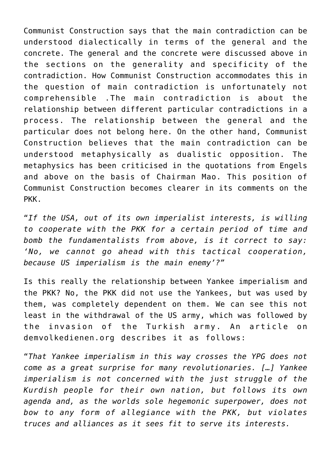Communist Construction says that the main contradiction can be understood dialectically in terms of the general and the concrete. The general and the concrete were discussed above in the sections on the generality and specificity of the contradiction. How Communist Construction accommodates this in the question of main contradiction is unfortunately not comprehensible .The main contradiction is about the relationship between different particular contradictions in a process. The relationship between the general and the particular does not belong here. On the other hand, Communist Construction believes that the main contradiction can be understood metaphysically as dualistic opposition. The metaphysics has been criticised in the quotations from Engels and above on the basis of Chairman Mao. This position of Communist Construction becomes clearer in its comments on the PKK.

"*If the USA, out of its own imperialist interests, is willing to cooperate with the PKK for a certain period of time and bomb the fundamentalists from above, is it correct to say: 'No, we cannot go ahead with this tactical cooperation, because US imperialism is the main enemy'?"*

Is this really the relationship between Yankee imperialism and the PKK? No, the PKK did not use the Yankees, but was used by them, was completely dependent on them. We can see this not least in the withdrawal of the US army, which was followed by the invasion of the Turkish army. An article on demvolkedienen.org describes it as follows:

"*That Yankee imperialism in this way crosses the YPG does not come as a great surprise for many revolutionaries. […] Yankee imperialism is not concerned with the just struggle of the Kurdish people for their own nation, but follows its own agenda and, as the worlds sole hegemonic superpower, does not bow to any form of allegiance with the PKK, but violates truces and alliances as it sees fit to serve its interests.*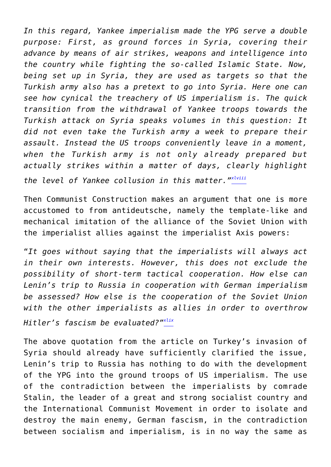*In this regard, Yankee imperialism made the YPG serve a double purpose: First, as ground forces in Syria, covering their advance by means of air strikes, weapons and intelligence into the country while fighting the so-called Islamic State. Now, being set up in Syria, they are used as targets so that the Turkish army also has a pretext to go into Syria. Here one can see how cynical the treachery of US imperialism is. The quick transition from the withdrawal of Yankee troops towards the Turkish attack on Syria speaks volumes in this question: It did not even take the Turkish army a week to prepare their assault. Instead the US troops conveniently leave in a moment, when the Turkish army is not only already prepared but actually strikes within a matter of days, clearly highlight the level of Yankee collusion in this matter."[xlviii](#page--1-0)*

Then Communist Construction makes an argument that one is more accustomed to from antideutsche, namely the template-like and mechanical imitation of the alliance of the Soviet Union with the imperialist allies against the imperialist Axis powers:

"*It goes without saying that the imperialists will always act in their own interests. However, this does not exclude the possibility of short-term tactical cooperation. How else can Lenin's trip to Russia in cooperation with German imperialism be assessed? How else is the cooperation of the Soviet Union with the other imperialists as allies in order to overthrow Hitler's fascism be evaluated?"[xlix](#page--1-0)*

The above quotation from the article on Turkey's invasion of Syria should already have sufficiently clarified the issue, Lenin's trip to Russia has nothing to do with the development of the YPG into the ground troops of US imperialism. The use of the contradiction between the imperialists by comrade Stalin, the leader of a great and strong socialist country and the International Communist Movement in order to isolate and destroy the main enemy, German fascism, in the contradiction between socialism and imperialism, is in no way the same as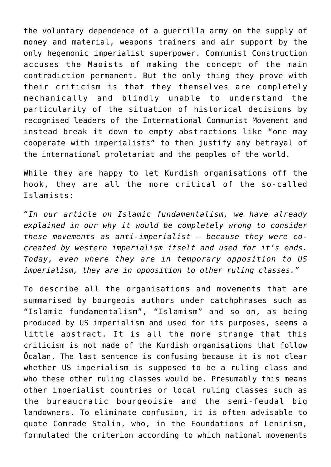the voluntary dependence of a guerrilla army on the supply of money and material, weapons trainers and air support by the only hegemonic imperialist superpower. Communist Construction accuses the Maoists of making the concept of the main contradiction permanent. But the only thing they prove with their criticism is that they themselves are completely mechanically and blindly unable to understand the particularity of the situation of historical decisions by recognised leaders of the International Communist Movement and instead break it down to empty abstractions like "one may cooperate with imperialists" to then justify any betrayal of the international proletariat and the peoples of the world.

While they are happy to let Kurdish organisations off the hook, they are all the more critical of the so-called Islamists:

"*In our article on Islamic fundamentalism, we have already explained in our why it would be completely wrong to consider these movements as anti-imperialist – because they were cocreated by western imperialism itself and used for it's ends. Today, even where they are in temporary opposition to US imperialism, they are in opposition to other ruling classes."*

To describe all the organisations and movements that are summarised by bourgeois authors under catchphrases such as "Islamic fundamentalism", "Islamism" and so on, as being produced by US imperialism and used for its purposes, seems a little abstract. It is all the more strange that this criticism is not made of the Kurdish organisations that follow Öcalan. The last sentence is confusing because it is not clear whether US imperialism is supposed to be a ruling class and who these other ruling classes would be. Presumably this means other imperialist countries or local ruling classes such as the bureaucratic bourgeoisie and the semi-feudal big landowners. To eliminate confusion, it is often advisable to quote Comrade Stalin, who, in the Foundations of Leninism, formulated the criterion according to which national movements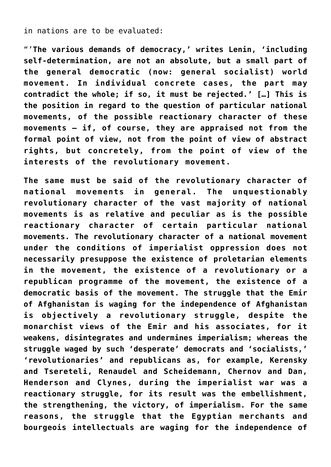in nations are to be evaluated:

"'**The various demands of democracy,' writes Lenin, 'including self-determination, are not an absolute, but a small part of the general democratic (now: general socialist) world movement. In individual concrete cases, the part may contradict the whole; if so, it must be rejected.' […] This is the position in regard to the question of particular national movements, of the possible reactionary character of these movements – if, of course, they are appraised not from the formal point of view, not from the point of view of abstract rights, but concretely, from the point of view of the interests of the revolutionary movement.**

**The same must be said of the revolutionary character of national movements in general. The unquestionably revolutionary character of the vast majority of national movements is as relative and peculiar as is the possible reactionary character of certain particular national movements. The revolutionary character of a national movement under the conditions of imperialist oppression does not necessarily presuppose the existence of proletarian elements in the movement, the existence of a revolutionary or a republican programme of the movement, the existence of a democratic basis of the movement. The struggle that the Emir of Afghanistan is waging for the independence of Afghanistan is objectively a revolutionary struggle, despite the monarchist views of the Emir and his associates, for it weakens, disintegrates and undermines imperialism; whereas the struggle waged by such 'desperate' democrats and 'socialists,' 'revolutionaries' and republicans as, for example, Kerensky and Tsereteli, Renaudel and Scheidemann, Chernov and Dan, Henderson and Clynes, during the imperialist war was a reactionary struggle, for its result was the embellishment, the strengthening, the victory, of imperialism. For the same reasons, the struggle that the Egyptian merchants and bourgeois intellectuals are waging for the independence of**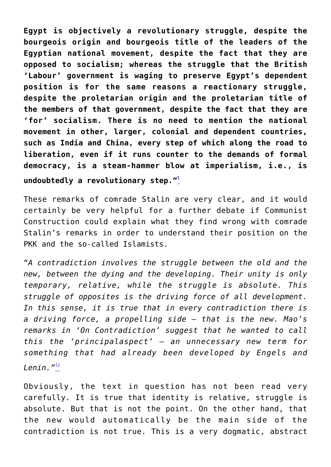**Egypt is objectively a revolutionary struggle, despite the bourgeois origin and bourgeois title of the leaders of the Egyptian national movement, despite the fact that they are opposed to socialism; whereas the struggle that the British 'Labour' government is waging to preserve Egypt's dependent position is for the same reasons a reactionary struggle, despite the proletarian origin and the proletarian title of the members of that government, despite the fact that they are 'for' socialism. There is no need to mention the national movement in other, larger, colonial and dependent countries, such as India and China, every step of which along the road to liberation, even if it runs counter to the demands of formal democracy, is a steam-hammer blow at imperialism, i.e., is undoubtedly a revolutionary step."[l](#page--1-0)**

These remarks of comrade Stalin are very clear, and it would certainly be very helpful for a further debate if Communist Construction could explain what they find wrong with comrade Stalin's remarks in order to understand their position on the PKK and the so-called Islamists.

"*A contradiction involves the struggle between the old and the new, between the dying and the developing. Their unity is only temporary, relative, while the struggle is absolute. This struggle of opposites is the driving force of all development. In this sense, it is true that in every contradiction there is a driving force, a propelling side – that is the new. Mao's remarks in 'On Contradiction' suggest that he wanted to call this the 'principalaspect' – an unnecessary new term for something that had already been developed by Engels and Lenin."[li](#page--1-0)*

Obviously, the text in question has not been read very carefully. It is true that identity is relative, struggle is absolute. But that is not the point. On the other hand, that the new would automatically be the main side of the contradiction is not true. This is a very dogmatic, abstract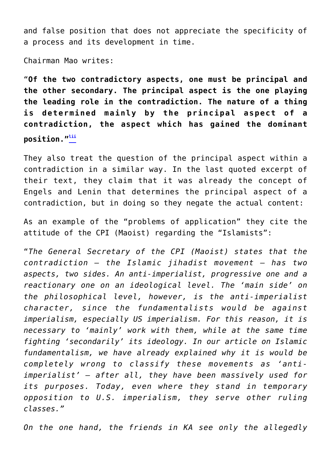and false position that does not appreciate the specificity of a process and its development in time.

Chairman Mao writes:

"**Of the two contradictory aspects, one must be principal and the other secondary. The principal aspect is the one playing the leading role in the contradiction. The nature of a thing is determined mainly by the principal aspect of a contradiction, the aspect which has gained the dominant position."[lii](#page--1-0)**

They also treat the question of the principal aspect within a contradiction in a similar way. In the last quoted excerpt of their text, they claim that it was already the concept of Engels and Lenin that determines the principal aspect of a contradiction, but in doing so they negate the actual content:

As an example of the "problems of application" they cite the attitude of the CPI (Maoist) regarding the "Islamists":

"*The General Secretary of the CPI (Maoist) states that the contradiction – the Islamic jihadist movement – has two aspects, two sides. An anti-imperialist, progressive one and a reactionary one on an ideological level. The 'main side' on the philosophical level, however, is the anti-imperialist character, since the fundamentalists would be against imperialism, especially US imperialism. For this reason, it is necessary to 'mainly' work with them, while at the same time fighting 'secondarily' its ideology. In our article on Islamic fundamentalism, we have already explained why it is would be completely wrong to classify these movements as 'antiimperialist' – after all, they have been massively used for its purposes. Today, even where they stand in temporary opposition to U.S. imperialism, they serve other ruling classes."*

*On the one hand, the friends in KA see only the allegedly*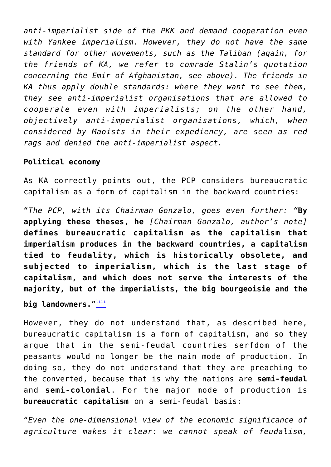*anti-imperialist side of the PKK and demand cooperation even with Yankee imperialism. However, they do not have the same standard for other movements, such as the Taliban (again, for the friends of KA, we refer to comrade Stalin's quotation concerning the Emir of Afghanistan, see above). The friends in KA thus apply double standards: where they want to see them, they see anti-imperialist organisations that are allowed to cooperate even with imperialists; on the other hand, objectively anti-imperialist organisations, which, when considered by Maoists in their expediency, are seen as red rags and denied the anti-imperialist aspect.*

## **Political economy**

As KA correctly points out, the PCP considers bureaucratic capitalism as a form of capitalism in the backward countries:

"*The PCP, with its Chairman Gonzalo, goes even further: "***By applying these theses, he** *[Chairman Gonzalo, author's note]* **defines bureaucratic capitalism as the capitalism that imperialism produces in the backward countries, a capitalism tied to feudality, which is historically obsolete, and subjected to imperialism, which is the last stage of capitalism, and which does not serve the interests of the majority, but of the imperialists, the big bourgeoisie and the** big landowners." $\overset{\text{tiii}}{\underline{\quad }}$ 

However, they do not understand that, as described here, bureaucratic capitalism is a form of capitalism, and so they argue that in the semi-feudal countries serfdom of the peasants would no longer be the main mode of production. In doing so, they do not understand that they are preaching to the converted, because that is why the nations are **semi-feudal** and **semi-colonial**. For the major mode of production is **bureaucratic capitalism** on a semi-feudal basis:

"*Even the one-dimensional view of the economic significance of agriculture makes it clear: we cannot speak of feudalism,*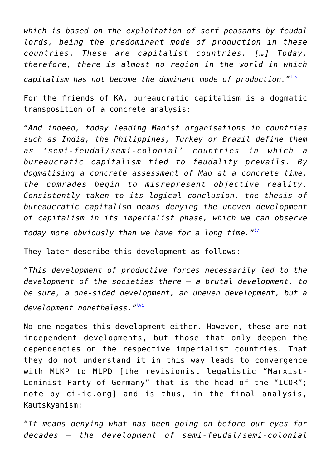*which is based on the exploitation of serf peasants by feudal lords, being the predominant mode of production in these countries. These are capitalist countries. […] Today, therefore, there is almost no region in the world in which* capitalism has not become the dominant mode of production." $\frac{1}{2}$ 

For the friends of KA, bureaucratic capitalism is a dogmatic transposition of a concrete analysis:

"*And indeed, today leading Maoist organisations in countries such as India, the Philippines, Turkey or Brazil define them as 'semi-feudal/semi-colonial' countries in which a bureaucratic capitalism tied to feudality prevails. By dogmatising a concrete assessment of Mao at a concrete time, the comrades begin to misrepresent objective reality. Consistently taken to its logical conclusion, the thesis of bureaucratic capitalism means denying the uneven development of capitalism in its imperialist phase, which we can observe today more obviously than we have for a long time."* 

They later describe this development as follows:

"*This development of productive forces necessarily led to the development of the societies there – a brutal development, to be sure, a one-sided development, an uneven development, but a* development nonetheless."In

No one negates this development either. However, these are not independent developments, but those that only deepen the dependencies on the respective imperialist countries. That they do not understand it in this way leads to convergence with MLKP to MLPD [the revisionist legalistic "Marxist-Leninist Party of Germany" that is the head of the "ICOR"; note by ci-ic.org] and is thus, in the final analysis, Kautskyanism:

"*It means denying what has been going on before our eyes for decades – the development of semi-feudal/semi-colonial*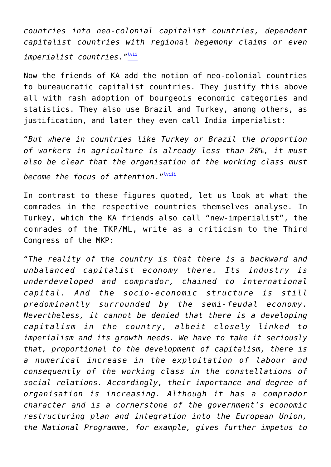*countries into neo-colonial capitalist countries, dependent capitalist countries with regional hegemony claims or even imperialist countries."*[lvii](#page--1-0)

Now the friends of KA add the notion of neo-colonial countries to bureaucratic capitalist countries. They justify this above all with rash adoption of bourgeois economic categories and statistics. They also use Brazil and Turkey, among others, as justification, and later they even call India imperialist:

"*But where in countries like Turkey or Brazil the proportion of workers in agriculture is already less than 20%, it must also be clear that the organisation of the working class must* become the focus of attention."<sup>[lviii](#page--1-0)</sup>

In contrast to these figures quoted, let us look at what the comrades in the respective countries themselves analyse. In Turkey, which the KA friends also call "new-imperialist", the comrades of the TKP/ML, write as a criticism to the Third Congress of the MKP:

"*The reality of the country is that there is a backward and unbalanced capitalist economy there. Its industry is underdeveloped and comprador, chained to international capital. And the socio-economic structure is still predominantly surrounded by the semi-feudal economy. Nevertheless, it cannot be denied that there is a developing capitalism in the country, albeit closely linked to imperialism and its growth needs. We have to take it seriously that, proportional to the development of capitalism, there is a numerical increase in the exploitation of labour and consequently of the working class in the constellations of social relations. Accordingly, their importance and degree of organisation is increasing. Although it has a comprador character and is a cornerstone of the government's economic restructuring plan and integration into the European Union, the National Programme, for example, gives further impetus to*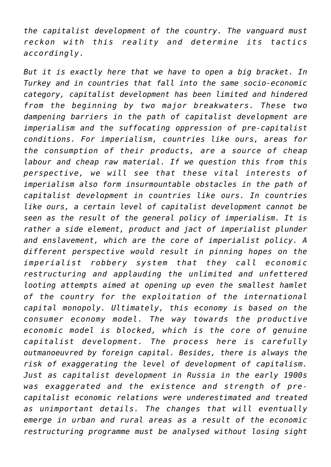*the capitalist development of the country. The vanguard must reckon with this reality and determine its tactics accordingly.*

*But it is exactly here that we have to open a big bracket. In Turkey and in countries that fall into the same socio-economic category, capitalist development has been limited and hindered from the beginning by two major breakwaters. These two dampening barriers in the path of capitalist development are imperialism and the suffocating oppression of pre-capitalist conditions. For imperialism, countries like ours, areas for the consumption of their products, are a source of cheap labour and cheap raw material. If we question this from this perspective, we will see that these vital interests of imperialism also form insurmountable obstacles in the path of capitalist development in countries like ours. In countries like ours, a certain level of capitalist development cannot be seen as the result of the general policy of imperialism. It is rather a side element, product and jact of imperialist plunder and enslavement, which are the core of imperialist policy. A different perspective would result in pinning hopes on the imperialist robbery system that they call economic restructuring and applauding the unlimited and unfettered looting attempts aimed at opening up even the smallest hamlet of the country for the exploitation of the international capital monopoly. Ultimately, this economy is based on the consumer economy model. The way towards the productive economic model is blocked, which is the core of genuine capitalist development. The process here is carefully outmanoeuvred by foreign capital. Besides, there is always the risk of exaggerating the level of development of capitalism. Just as capitalist development in Russia in the early 1900s was exaggerated and the existence and strength of precapitalist economic relations were underestimated and treated as unimportant details. The changes that will eventually emerge in urban and rural areas as a result of the economic restructuring programme must be analysed without losing sight*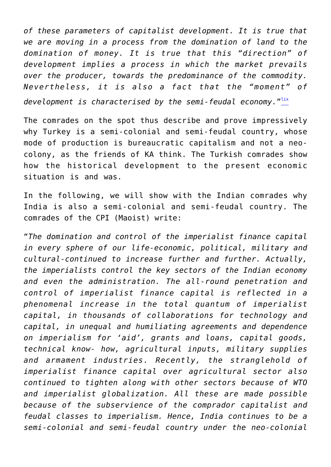*of these parameters of capitalist development. It is true that we are moving in a process from the domination of land to the domination of money. It is true that this "direction" of development implies a process in which the market prevails over the producer, towards the predominance of the commodity. Nevertheless, it is also a fact that the "moment" of* development is characterised by the semi-feudal economy." $\overset{\text{lin}}{\rightharpoonup}$ 

The comrades on the spot thus describe and prove impressively why Turkey is a semi-colonial and semi-feudal country, whose mode of production is bureaucratic capitalism and not a neocolony, as the friends of KA think. The Turkish comrades show how the historical development to the present economic situation is and was.

In the following, we will show with the Indian comrades why India is also a semi-colonial and semi-feudal country. The comrades of the CPI (Maoist) write:

"*The domination and control of the imperialist finance capital in every sphere of our life-economic, political, military and cultural-continued to increase further and further. Actually, the imperialists control the key sectors of the Indian economy and even the administration. The all-round penetration and control of imperialist finance capital is reflected in a phenomenal increase in the total quantum of imperialist capital, in thousands of collaborations for technology and capital, in unequal and humiliating agreements and dependence on imperialism for 'aid', grants and loans, capital goods, technical know- how, agricultural inputs, military supplies and armament industries. Recently, the stranglehold of imperialist finance capital over agricultural sector also continued to tighten along with other sectors because of WTO and imperialist globalization. All these are made possible because of the subservience of the comprador capitalist and feudal classes to imperialism. Hence, India continues to be a semi-colonial and semi-feudal country under the neo-colonial*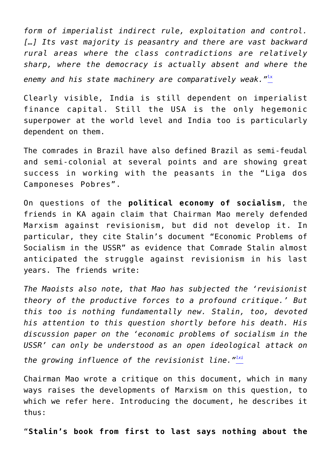*form of imperialist indirect rule, exploitation and control. […] Its vast majority is peasantry and there are vast backward rural areas where the class contradictions are relatively sharp, where the democracy is actually absent and where the*

*enemy and his state machinery are comparatively weak."*[lx](#page--1-0)

Clearly visible, India is still dependent on imperialist finance capital. Still the USA is the only hegemonic superpower at the world level and India too is particularly dependent on them.

The comrades in Brazil have also defined Brazil as semi-feudal and semi-colonial at several points and are showing great success in working with the peasants in the "Liga dos Camponeses Pobres".

On questions of the **political economy of socialism**, the friends in KA again claim that Chairman Mao merely defended Marxism against revisionism, but did not develop it. In particular, they cite Stalin's document "Economic Problems of Socialism in the USSR" as evidence that Comrade Stalin almost anticipated the struggle against revisionism in his last years. The friends write:

*The Maoists also note, that Mao has subjected the 'revisionist theory of the productive forces to a profound critique.' But this too is nothing fundamentally new. Stalin, too, devoted his attention to this question shortly before his death. His discussion paper on the 'economic problems of socialism in the USSR' can only be understood as an open ideological attack on the growing influence of the revisionist line.* " $\frac{N}{N}$ 

Chairman Mao wrote a critique on this document, which in many ways raises the developments of Marxism on this question, to which we refer here. Introducing the document, he describes it thus:

"**Stalin's book from first to last says nothing about the**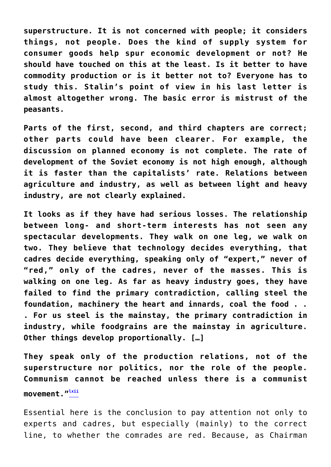**superstructure. It is not concerned with people; it considers things, not people. Does the kind of supply system for consumer goods help spur economic development or not? He should have touched on this at the least. Is it better to have commodity production or is it better not to? Everyone has to study this. Stalin's point of view in his last letter is almost altogether wrong. The basic error is mistrust of the peasants.**

**Parts of the first, second, and third chapters are correct; other parts could have been clearer. For example, the discussion on planned economy is not complete. The rate of development of the Soviet economy is not high enough, although it is faster than the capitalists' rate. Relations between agriculture and industry, as well as between light and heavy industry, are not clearly explained.**

**It looks as if they have had serious losses. The relationship between long- and short-term interests has not seen any spectacular developments. They walk on one leg, we walk on two. They believe that technology decides everything, that cadres decide everything, speaking only of "expert," never of "red," only of the cadres, never of the masses. This is walking on one leg. As far as heavy industry goes, they have failed to find the primary contradiction, calling steel the foundation, machinery the heart and innards, coal the food . . . For us steel is the mainstay, the primary contradiction in industry, while foodgrains are the mainstay in agriculture. Other things develop proportionally. […]**

**They speak only of the production relations, not of the superstructure nor politics, nor the role of the people. Communism cannot be reached unless there is a communist movement."[lxii](#page--1-0)**

Essential here is the conclusion to pay attention not only to experts and cadres, but especially (mainly) to the correct line, to whether the comrades are red. Because, as Chairman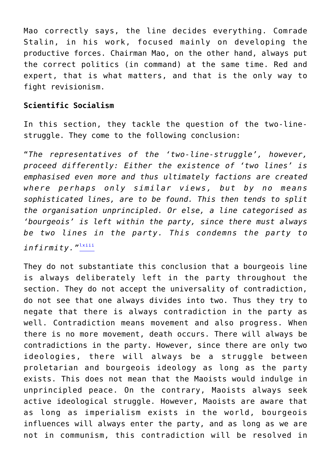Mao correctly says, the line decides everything. Comrade Stalin, in his work, focused mainly on developing the productive forces. Chairman Mao, on the other hand, always put the correct politics (in command) at the same time. Red and expert, that is what matters, and that is the only way to fight revisionism.

## **Scientific Socialism**

In this section, they tackle the question of the two-linestruggle. They come to the following conclusion:

"*The representatives of the 'two-line-struggle', however, proceed differently: Either the existence of 'two lines' is emphasised even more and thus ultimately factions are created where perhaps only similar views, but by no means sophisticated lines, are to be found. This then tends to split the organisation unprincipled. Or else, a line categorised as 'bourgeois' is left within the party, since there must always be two lines in the party. This condemns the party to infirmity."*[lxiii](#page--1-0)

They do not substantiate this conclusion that a bourgeois line is always deliberately left in the party throughout the section. They do not accept the universality of contradiction, do not see that one always divides into two. Thus they try to negate that there is always contradiction in the party as well. Contradiction means movement and also progress. When there is no more movement, death occurs. There will always be contradictions in the party. However, since there are only two ideologies, there will always be a struggle between proletarian and bourgeois ideology as long as the party exists. This does not mean that the Maoists would indulge in unprincipled peace. On the contrary, Maoists always seek active ideological struggle. However, Maoists are aware that as long as imperialism exists in the world, bourgeois influences will always enter the party, and as long as we are not in communism, this contradiction will be resolved in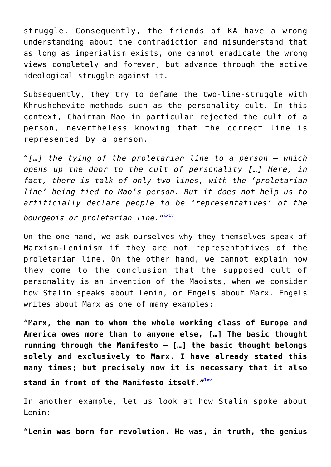struggle. Consequently, the friends of KA have a wrong understanding about the contradiction and misunderstand that as long as imperialism exists, one cannot eradicate the wrong views completely and forever, but advance through the active ideological struggle against it.

Subsequently, they try to defame the two-line-struggle with Khrushchevite methods such as the personality cult. In this context, Chairman Mao in particular rejected the cult of a person, nevertheless knowing that the correct line is represented by a person.

"*[…] the tying of the proletarian line to a person – which opens up the door to the cult of personality […] Here, in fact, there is talk of only two lines, with the 'proletarian line' being tied to Mao's person. But it does not help us to artificially declare people to be 'representatives' of the bourgeois or proletarian line."[lxiv](#page--1-0)*

On the one hand, we ask ourselves why they themselves speak of Marxism-Leninism if they are not representatives of the proletarian line. On the other hand, we cannot explain how they come to the conclusion that the supposed cult of personality is an invention of the Maoists, when we consider how Stalin speaks about Lenin, or Engels about Marx. Engels writes about Marx as one of many examples:

"**Marx, the man to whom the whole working class of Europe and America owes more than to anyone else, […] The basic thought running through the Manifesto – […] the basic thought belongs solely and exclusively to Marx. I have already stated this many times; but precisely now it is necessary that it also stand in front of the Manifesto itself."[lxv](#page--1-0)**

In another example, let us look at how Stalin spoke about Lenin:

"**Lenin was born for revolution. He was, in truth, the genius**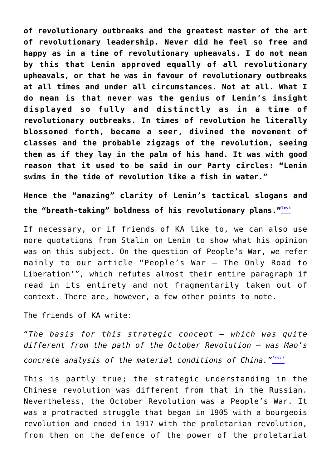**of revolutionary outbreaks and the greatest master of the art of revolutionary leadership. Never did he feel so free and happy as in a time of revolutionary upheavals. I do not mean by this that Lenin approved equally of all revolutionary upheavals, or that he was in favour of revolutionary outbreaks at all times and under all circumstances. Not at all. What I do mean is that never was the genius of Lenin's insight displayed so fully and distinctly as in a time of revolutionary outbreaks. In times of revolution he literally blossomed forth, became a seer, divined the movement of classes and the probable zigzags of the revolution, seeing them as if they lay in the palm of his hand. It was with good reason that it used to be said in our Party circles: "Lenin swims in the tide of revolution like a fish in water."**

**Hence the "amazing" clarity of Lenin's tactical slogans and** the "breath-taking" boldness of his revolutionary plans."

If necessary, or if friends of KA like to, we can also use more quotations from Stalin on Lenin to show what his opinion was on this subject. On the question of People's War, we refer mainly to our article "People's War – The Only Road to Liberation'", which refutes almost their entire paragraph if read in its entirety and not fragmentarily taken out of context. There are, however, a few other points to note.

The friends of KA write:

"*The basis for this strategic concept – which was quite different from the path of the October Revolution – was Mao's* concrete analysis of the material conditions of China."<sup>*[lxvii](#page--1-0)*</sup>

This is partly true; the strategic understanding in the Chinese revolution was different from that in the Russian. Nevertheless, the October Revolution was a People's War. It was a protracted struggle that began in 1905 with a bourgeois revolution and ended in 1917 with the proletarian revolution, from then on the defence of the power of the proletariat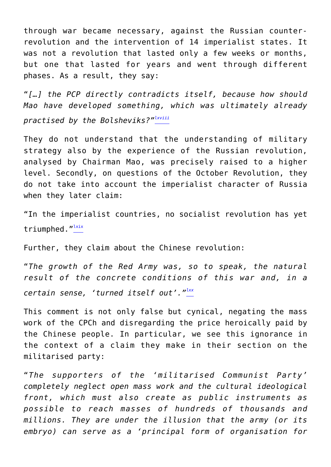through war became necessary, against the Russian counterrevolution and the intervention of 14 imperialist states. It was not a revolution that lasted only a few weeks or months, but one that lasted for years and went through different phases. As a result, they say:

"*[…] the PCP directly contradicts itself, because how should Mao have developed something, which was ultimately already practised by the Bolsheviks?"[lxviii](#page--1-0)*

They do not understand that the understanding of military strategy also by the experience of the Russian revolution, analysed by Chairman Mao, was precisely raised to a higher level. Secondly, on questions of the October Revolution, they do not take into account the imperialist character of Russia when they later claim:

"In the imperialist countries, no socialist revolution has yet triumphed. $^{\prime\prime}$ <sup>1xix</sup>

Further, they claim about the Chinese revolution:

"*The growth of the Red Army was, so to speak, the natural result of the concrete conditions of this war and, in a certain sense, 'turned itself out'."[lxx](#page--1-0)*

This comment is not only false but cynical, negating the mass work of the CPCh and disregarding the price heroically paid by the Chinese people. In particular, we see this ignorance in the context of a claim they make in their section on the militarised party:

"*The supporters of the 'militarised Communist Party' completely neglect open mass work and the cultural ideological front, which must also create as public instruments as possible to reach masses of hundreds of thousands and millions. They are under the illusion that the army (or its embryo) can serve as a 'principal form of organisation for*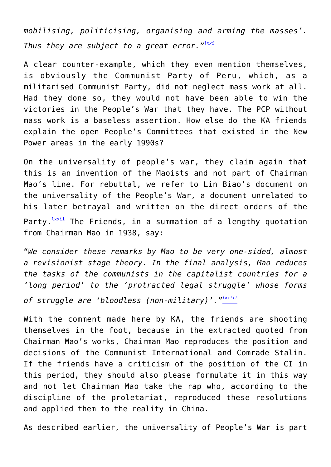*mobilising, politicising, organising and arming the masses'. Thus they are subject to a great error."[lxxi](#page--1-0)*

A clear counter-example, which they even mention themselves, is obviously the Communist Party of Peru, which, as a militarised Communist Party, did not neglect mass work at all. Had they done so, they would not have been able to win the victories in the People's War that they have. The PCP without mass work is a baseless assertion. How else do the KA friends explain the open People's Committees that existed in the New Power areas in the early 1990s?

On the universality of people's war, they claim again that this is an invention of the Maoists and not part of Chairman Mao's line. For rebuttal, we refer to Lin Biao's document on the universality of the People's War, a document unrelated to his later betrayal and written on the direct orders of the Party. $\frac{lxxii}{l}$  $\frac{lxxii}{l}$  $\frac{lxxii}{l}$  The Friends, in a summation of a lengthy quotation from Chairman Mao in 1938, say:

"*We consider these remarks by Mao to be very one-sided, almost a revisionist stage theory. In the final analysis, Mao reduces the tasks of the communists in the capitalist countries for a 'long period' to the 'protracted legal struggle' whose forms*

of struggle are 'bloodless (non-military)'." $\frac{M_{\text{xxi}ii}}{M}$ 

With the comment made here by KA, the friends are shooting themselves in the foot, because in the extracted quoted from Chairman Mao's works, Chairman Mao reproduces the position and decisions of the Communist International and Comrade Stalin. If the friends have a criticism of the position of the CI in this period, they should also please formulate it in this way and not let Chairman Mao take the rap who, according to the discipline of the proletariat, reproduced these resolutions and applied them to the reality in China.

As described earlier, the universality of People's War is part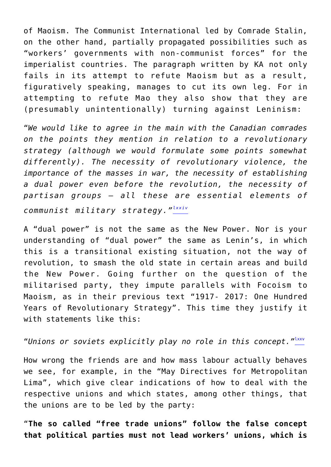of Maoism. The Communist International led by Comrade Stalin, on the other hand, partially propagated possibilities such as "workers' governments with non-communist forces" for the imperialist countries. The paragraph written by KA not only fails in its attempt to refute Maoism but as a result, figuratively speaking, manages to cut its own leg. For in attempting to refute Mao they also show that they are (presumably unintentionally) turning against Leninism:

"*We would like to agree in the main with the Canadian comrades on the points they mention in relation to a revolutionary strategy (although we would formulate some points somewhat differently). The necessity of revolutionary violence, the importance of the masses in war, the necessity of establishing a dual power even before the revolution, the necessity of partisan groups – all these are essential elements of communist military strategy."[lxxiv](#page--1-0)*

A "dual power" is not the same as the New Power. Nor is your understanding of "dual power" the same as Lenin's, in which this is a transitional existing situation, not the way of revolution, to smash the old state in certain areas and build the New Power. Going further on the question of the militarised party, they impute parallels with Focoism to Maoism, as in their previous text "1917- 2017: One Hundred Years of Revolutionary Strategy". This time they justify it with statements like this:

"Unions or soviets explicitly play no role in this concept."

How wrong the friends are and how mass labour actually behaves we see, for example, in the "May Directives for Metropolitan Lima", which give clear indications of how to deal with the respective unions and which states, among other things, that the unions are to be led by the party:

"**The so called "free trade unions" follow the false concept that political parties must not lead workers' unions, which is**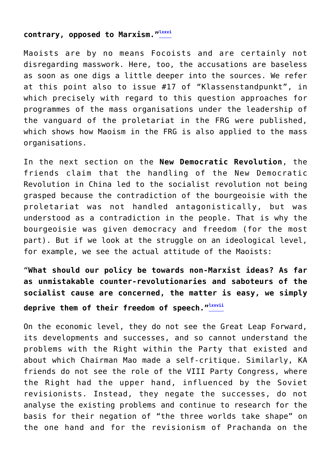## **contrary, opposed to Marxism."[lxxvi](#page--1-0)**

Maoists are by no means Focoists and are certainly not disregarding masswork. Here, too, the accusations are baseless as soon as one digs a little deeper into the sources. We refer at this point also to issue #17 of "Klassenstandpunkt", in which precisely with regard to this question approaches for programmes of the mass organisations under the leadership of the vanguard of the proletariat in the FRG were published, which shows how Maoism in the FRG is also applied to the mass organisations.

In the next section on the **New Democratic Revolution**, the friends claim that the handling of the New Democratic Revolution in China led to the socialist revolution not being grasped because the contradiction of the bourgeoisie with the proletariat was not handled antagonistically, but was understood as a contradiction in the people. That is why the bourgeoisie was given democracy and freedom (for the most part). But if we look at the struggle on an ideological level, for example, we see the actual attitude of the Maoists:

"**What should our policy be towards non-Marxist ideas? As far as unmistakable counter-revolutionaries and saboteurs of the socialist cause are concerned, the matter is easy, we simply** deprive them of their freedom of speech." $\frac{N}{2}$ 

On the economic level, they do not see the Great Leap Forward, its developments and successes, and so cannot understand the problems with the Right within the Party that existed and about which Chairman Mao made a self-critique. Similarly, KA friends do not see the role of the VIII Party Congress, where the Right had the upper hand, influenced by the Soviet revisionists. Instead, they negate the successes, do not analyse the existing problems and continue to research for the basis for their negation of "the three worlds take shape" on the one hand and for the revisionism of Prachanda on the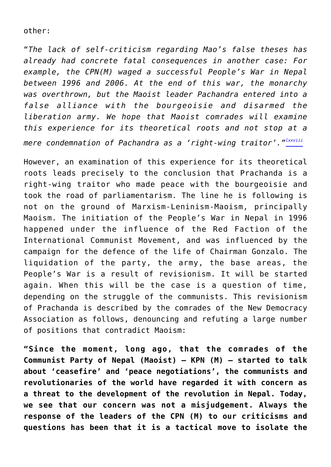other:

"*The lack of self-criticism regarding Mao's false theses has already had concrete fatal consequences in another case: For example, the CPN(M) waged a successful People's War in Nepal between 1996 and 2006. At the end of this war, the monarchy was overthrown, but the Maoist leader Pachandra entered into a false alliance with the bourgeoisie and disarmed the liberation army. We hope that Maoist comrades will examine this experience for its theoretical roots and not stop at a mere condemnation of Pachandra as a 'right-wing traitor'."[lxxviii](#page--1-0)*

However, an examination of this experience for its theoretical roots leads precisely to the conclusion that Prachanda is a right-wing traitor who made peace with the bourgeoisie and took the road of parliamentarism. The line he is following is not on the ground of Marxism-Leninism-Maoism, principally Maoism. The initiation of the People's War in Nepal in 1996 happened under the influence of the Red Faction of the International Communist Movement, and was influenced by the campaign for the defence of the life of Chairman Gonzalo. The liquidation of the party, the army, the base areas, the People's War is a result of revisionism. It will be started again. When this will be the case is a question of time, depending on the struggle of the communists. This revisionism of Prachanda is described by the comrades of the New Democracy Association as follows, denouncing and refuting a large number of positions that contradict Maoism:

**"Since the moment, long ago, that the comrades of the Communist Party of Nepal (Maoist) – KPN (M) – started to talk about 'ceasefire' and 'peace negotiations', the communists and revolutionaries of the world have regarded it with concern as a threat to the development of the revolution in Nepal. Today, we see that our concern was not a misjudgement. Always the response of the leaders of the CPN (M) to our criticisms and questions has been that it is a tactical move to isolate the**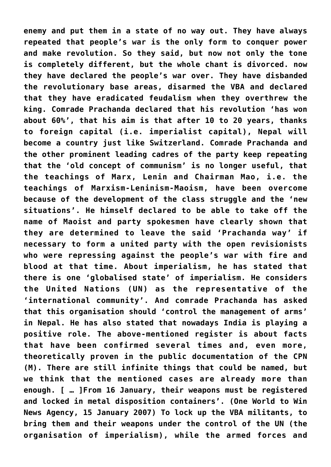**enemy and put them in a state of no way out. They have always repeated that people's war is the only form to conquer power and make revolution. So they said, but now not only the tone is completely different, but the whole chant is divorced. now they have declared the people's war over. They have disbanded the revolutionary base areas, disarmed the VBA and declared that they have eradicated feudalism when they overthrew the king. Comrade Prachanda declared that his revolution 'has won about 60%', that his aim is that after 10 to 20 years, thanks to foreign capital (i.e. imperialist capital), Nepal will become a country just like Switzerland. Comrade Prachanda and the other prominent leading cadres of the party keep repeating that the 'old concept of communism' is no longer useful, that the teachings of Marx, Lenin and Chairman Mao, i.e. the teachings of Marxism-Leninism-Maoism, have been overcome because of the development of the class struggle and the 'new situations'. He himself declared to be able to take off the name of Maoist and party spokesmen have clearly shown that they are determined to leave the said 'Prachanda way' if necessary to form a united party with the open revisionists who were repressing against the people's war with fire and blood at that time. About imperialism, he has stated that there is one 'globalised state' of imperialism. He considers the United Nations (UN) as the representative of the 'international community'. And comrade Prachanda has asked that this organisation should 'control the management of arms' in Nepal. He has also stated that nowadays India is playing a positive role. The above-mentioned register is about facts that have been confirmed several times and, even more, theoretically proven in the public documentation of the CPN (M). There are still infinite things that could be named, but we think that the mentioned cases are already more than enough. [ … ]From 16 January, their weapons must be registered and locked in metal disposition containers'. (One World to Win News Agency, 15 January 2007) To lock up the VBA militants, to bring them and their weapons under the control of the UN (the organisation of imperialism), while the armed forces and**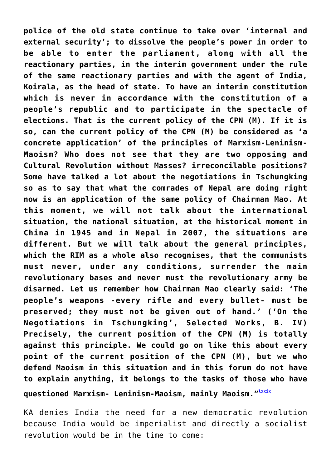**police of the old state continue to take over 'internal and external security'; to dissolve the people's power in order to be able to enter the parliament, along with all the reactionary parties, in the interim government under the rule of the same reactionary parties and with the agent of India, Koirala, as the head of state. To have an interim constitution which is never in accordance with the constitution of a people's republic and to participate in the spectacle of elections. That is the current policy of the CPN (M). If it is so, can the current policy of the CPN (M) be considered as 'a concrete application' of the principles of Marxism-Leninism-Maoism? Who does not see that they are two opposing and Cultural Revolution without Masses? irreconcilable positions? Some have talked a lot about the negotiations in Tschungking so as to say that what the comrades of Nepal are doing right now is an application of the same policy of Chairman Mao. At this moment, we will not talk about the international situation, the national situation, at the historical moment in China in 1945 and in Nepal in 2007, the situations are different. But we will talk about the general principles, which the RIM as a whole also recognises, that the communists must never, under any conditions, surrender the main revolutionary bases and never must the revolutionary army be disarmed. Let us remember how Chairman Mao clearly said: 'The people's weapons -every rifle and every bullet- must be preserved; they must not be given out of hand.' ('On the Negotiations in Tschungking', Selected Works, B. IV) Precisely, the current position of the CPN (M) is totally against this principle. We could go on like this about every point of the current position of the CPN (M), but we who defend Maoism in this situation and in this forum do not have to explain anything, it belongs to the tasks of those who have questioned Marxism- Leninism-Maoism, mainly Maoism."[lxxix](#page--1-0)**

KA denies India the need for a new democratic revolution because India would be imperialist and directly a socialist revolution would be in the time to come: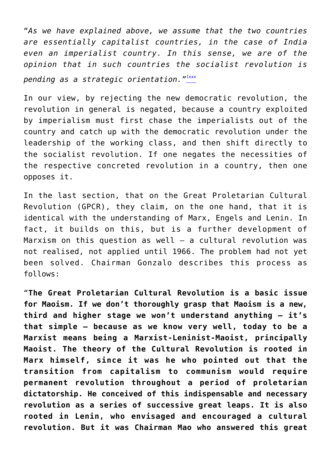"*As we have explained above, we assume that the two countries are essentially capitalist countries, in the case of India even an imperialist country. In this sense, we are of the opinion that in such countries the socialist revolution is pending as a strategic orientation."[lxxx](#page--1-0)*

In our view, by rejecting the new democratic revolution, the revolution in general is negated, because a country exploited by imperialism must first chase the imperialists out of the country and catch up with the democratic revolution under the leadership of the working class, and then shift directly to the socialist revolution. If one negates the necessities of the respective concreted revolution in a country, then one opposes it.

In the last section, that on the Great Proletarian Cultural Revolution (GPCR), they claim, on the one hand, that it is identical with the understanding of Marx, Engels and Lenin. In fact, it builds on this, but is a further development of Marxism on this question as well – a cultural revolution was not realised, not applied until 1966. The problem had not yet been solved. Chairman Gonzalo describes this process as follows:

"**The Great Proletarian Cultural Revolution is a basic issue for Maoism. If we don't thoroughly grasp that Maoism is a new, third and higher stage we won't understand anything – it's that simple – because as we know very well, today to be a Marxist means being a Marxist-Leninist-Maoist, principally Maoist. The theory of the Cultural Revolution is rooted in Marx himself, since it was he who pointed out that the transition from capitalism to communism would require permanent revolution throughout a period of proletarian dictatorship. He conceived of this indispensable and necessary revolution as a series of successive great leaps. It is also rooted in Lenin, who envisaged and encouraged a cultural revolution. But it was Chairman Mao who answered this great**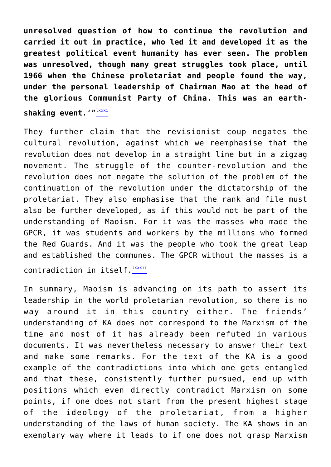**unresolved question of how to continue the revolution and carried it out in practice, who led it and developed it as the greatest political event humanity has ever seen. The problem was unresolved, though many great struggles took place, until 1966 when the Chinese proletariat and people found the way, under the personal leadership of Chairman Mao at the head of the glorious Communist Party of China. This was an earth**shaking event.<sup>'"[lxxxi](#page--1-0)</sup>

They further claim that the revisionist coup negates the cultural revolution, against which we reemphasise that the revolution does not develop in a straight line but in a zigzag movement. The struggle of the counter-revolution and the revolution does not negate the solution of the problem of the continuation of the revolution under the dictatorship of the proletariat. They also emphasise that the rank and file must also be further developed, as if this would not be part of the understanding of Maoism. For it was the masses who made the GPCR, it was students and workers by the millions who formed the Red Guards. And it was the people who took the great leap and established the communes. The GPCR without the masses is a contradiction in itself. *[lxxxii](#page--1-0)* 

In summary, Maoism is advancing on its path to assert its leadership in the world proletarian revolution, so there is no way around it in this country either. The friends' understanding of KA does not correspond to the Marxism of the time and most of it has already been refuted in various documents. It was nevertheless necessary to answer their text and make some remarks. For the text of the KA is a good example of the contradictions into which one gets entangled and that these, consistently further pursued, end up with positions which even directly contradict Marxism on some points, if one does not start from the present highest stage of the ideology of the proletariat, from a higher understanding of the laws of human society. The KA shows in an exemplary way where it leads to if one does not grasp Marxism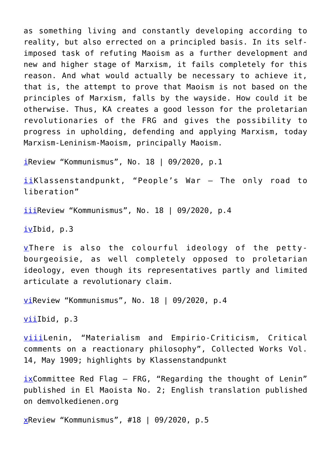as something living and constantly developing according to reality, but also errected on a principled basis. In its selfimposed task of refuting Maoism as a further development and new and higher stage of Marxism, it fails completely for this reason. And what would actually be necessary to achieve it, that is, the attempt to prove that Maoism is not based on the principles of Marxism, falls by the wayside. How could it be otherwise. Thus, KA creates a good lesson for the proletarian revolutionaries of the FRG and gives the possibility to progress in upholding, defending and applying Marxism, today Marxism-Leninism-Maoism, principally Maoism.

[iR](#page--1-0)eview "Kommunismus", No. 18 | 09/2020, p.1

[iiK](#page--1-0)lassenstandpunkt, "People's War - The only road to liberation"

[iiiR](#page--1-0)eview "Kommunismus", No. 18 | 09/2020, p.4

[ivI](#page--1-0)bid, p.3

[v](#page--1-0)There is also the colourful ideology of the pettybourgeoisie, as well completely opposed to proletarian ideology, even though its representatives partly and limited articulate a revolutionary claim.

[viR](#page--1-0)eview "Kommunismus", No. 18 | 09/2020, p.4

[viiI](#page--1-0)bid, p.3

[viii](#page--1-0)Lenin, "Materialism and Empirio-Criticism, Critical comments on a reactionary philosophy", Collected Works Vol. 14, May 1909; highlights by Klassenstandpunkt

 $ix$ Committee Red Flag  $-$  FRG, "Regarding the thought of Lenin" published in El Maoista No. 2; English translation published on demvolkedienen.org

[xR](#page--1-0)eview "Kommunismus", #18 | 09/2020, p.5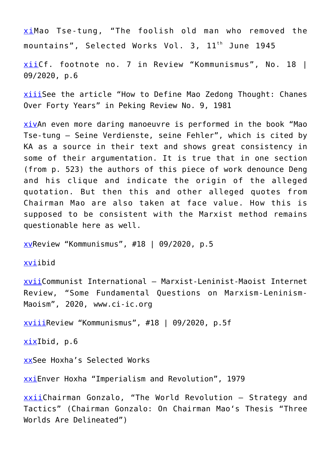[xi](#page--1-0)Mao Tse-tung, "The foolish old man who removed the mountains", Selected Works Vol. 3,  $11<sup>th</sup>$  June 1945

[xii](#page--1-0)Cf. footnote no. 7 in Review "Kommunismus", No. 18 | 09/2020, p.6

[xiiiS](#page--1-0)ee the article "How to Define Mao Zedong Thought: Chanes Over Forty Years" in Peking Review No. 9, 1981

[xiv](#page--1-0)An even more daring manoeuvre is performed in the book "Mao Tse-tung – Seine Verdienste, seine Fehler", which is cited by KA as a source in their text and shows great consistency in some of their argumentation. It is true that in one section (from p. 523) the authors of this piece of work denounce Deng and his clique and indicate the origin of the alleged quotation. But then this and other alleged quotes from Chairman Mao are also taken at face value. How this is supposed to be consistent with the Marxist method remains questionable here as well.

[xvR](#page--1-0)eview "Kommunismus", #18 | 09/2020, p.5

[xvii](#page--1-0)bid

[xvii](#page--1-0)Communist International – Marxist-Leninist-Maoist Internet Review, "Some Fundamental Questions on Marxism-Leninism-Maoism", 2020, www.ci-ic.org

[xviii](#page--1-0)Review "Kommunismus", #18 | 09/2020, p.5f

[xixI](#page--1-0)bid, p.6

[xxS](#page--1-0)ee Hoxha's Selected Works

[xxiE](#page--1-0)nver Hoxha "Imperialism and Revolution", 1979

[xxiiC](#page--1-0)hairman Gonzalo, "The World Revolution – Strategy and Tactics" (Chairman Gonzalo: On Chairman Mao's Thesis "Three Worlds Are Delineated")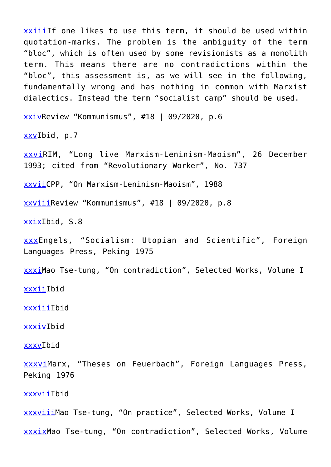[xxiiiI](#page--1-0)f one likes to use this term, it should be used within quotation-marks. The problem is the ambiguity of the term "bloc", which is often used by some revisionists as a monolith term. This means there are no contradictions within the "bloc", this assessment is, as we will see in the following, fundamentally wrong and has nothing in common with Marxist dialectics. Instead the term "socialist camp" should be used. [xxiv](#page--1-0)Review "Kommunismus", #18 | 09/2020, p.6 [xxvI](#page--1-0)bid, p.7 [xxvi](#page--1-0)RIM, "Long live Marxism-Leninism-Maoism", 26 December 1993; cited from "Revolutionary Worker", No. 737 [xxvii](#page--1-0)CPP, "On Marxism-Leninism-Maoism", 1988 [xxviii](#page--1-0)Review "Kommunismus", #18 | 09/2020, p.8 [xxix](#page--1-0)Ibid, S.8 [xxx](#page--1-0)Engels, "Socialism: Utopian and Scientific", Foreign Languages Press, Peking 1975 [xxxi](#page--1-0)Mao Tse-tung, "On contradiction", Selected Works, Volume I [xxxii](#page--1-0)Ibid

[xxxiii](#page--1-0)Ibid

[xxxiv](#page--1-0)Ibid

[xxxv](#page--1-0)Ibid

[xxxvi](#page--1-0)Marx, "Theses on Feuerbach", Foreign Languages Press, Peking 1976

[xxxvii](#page--1-0)Ibid

[xxxviii](#page--1-0)Mao Tse-tung, "On practice", Selected Works, Volume I [xxxixM](#page--1-0)ao Tse-tung, "On contradiction", Selected Works, Volume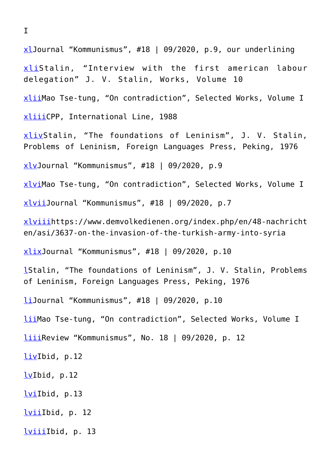I

[xlJ](#page--1-0)ournal "Kommunismus", #18 | 09/2020, p.9, our underlining [xli](#page--1-0)Stalin, "Interview with the first american labour delegation" J. V. Stalin, Works, Volume 10 [xlii](#page--1-0)Mao Tse-tung, "On contradiction", Selected Works, Volume I [xliii](#page--1-0)CPP, International Line, 1988 [xlivS](#page--1-0)talin, "The foundations of Leninism", J. V. Stalin, Problems of Leninism, Foreign Languages Press, Peking, 1976 [xlvJ](#page--1-0)ournal "Kommunismus", #18 | 09/2020, p.9 [xlvi](#page--1-0)Mao Tse-tung, "On contradiction", Selected Works, Volume I [xlvii](#page--1-0)Journal "Kommunismus", #18 | 09/2020, p.7 [xlviiih](#page--1-0)ttps://www.demvolkedienen.org/index.php/en/48-nachricht en/asi/3637-on-the-invasion-of-the-turkish-army-into-syria [xlix](#page--1-0)Journal "Kommunismus", #18 | 09/2020, p.10 [lS](#page--1-0)talin, "The foundations of Leninism", J. V. Stalin, Problems of Leninism, Foreign Languages Press, Peking, 1976 [liJ](#page--1-0)ournal "Kommunismus", #18 | 09/2020, p.10 [liiM](#page--1-0)ao Tse-tung, "On contradiction", Selected Works, Volume I [liii](#page--1-0)Review "Kommunismus", No. 18 | 09/2020, p. 12 [livI](#page--1-0)bid, p.12 [lvI](#page--1-0)bid, p.12 [lviI](#page--1-0)bid, p.13 [lvii](#page--1-0)Ibid, p. 12 [lviii](#page--1-0)Ibid, p. 13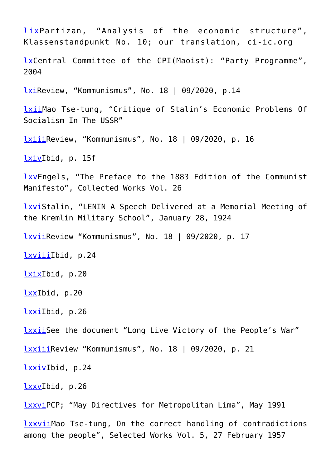[lix](#page--1-0)Partizan, "Analysis of the economic structure", Klassenstandpunkt No. 10; our translation, ci-ic.org [lxC](#page--1-0)entral Committee of the CPI(Maoist): "Party Programme", 2004 [lxiR](#page--1-0)eview, "Kommunismus", No. 18 | 09/2020, p.14 [lxii](#page--1-0)Mao Tse-tung, "Critique of Stalin's Economic Problems Of Socialism In The USSR" [lxiii](#page--1-0)Review, "Kommunismus", No. 18 | 09/2020, p. 16 [lxiv](#page--1-0)Ibid, p. 15f [lxvE](#page--1-0)ngels, "The Preface to the 1883 Edition of the Communist Manifesto", Collected Works Vol. 26 [lxvi](#page--1-0)Stalin, "LENIN A Speech Delivered at a Memorial Meeting of the Kremlin Military School", January 28, 1924 [lxvii](#page--1-0)Review "Kommunismus", No. 18 | 09/2020, p. 17 [lxviii](#page--1-0)Ibid, p.24 [lxix](#page--1-0)Ibid, p.20 [lxxI](#page--1-0)bid, p.20 [lxxi](#page--1-0)Ibid, p.26 [lxxii](#page--1-0)See the document "Long Live Victory of the People's War" [lxxiii](#page--1-0)Review "Kommunismus", No. 18 | 09/2020, p. 21 [lxxiv](#page--1-0)Ibid, p.24 [lxxv](#page--1-0)Ibid, p.26 [lxxvi](#page--1-0)PCP; "May Directives for Metropolitan Lima", May 1991 [lxxvii](#page--1-0)Mao Tse-tung, On the correct handling of contradictions among the people", Selected Works Vol. 5, 27 February 1957